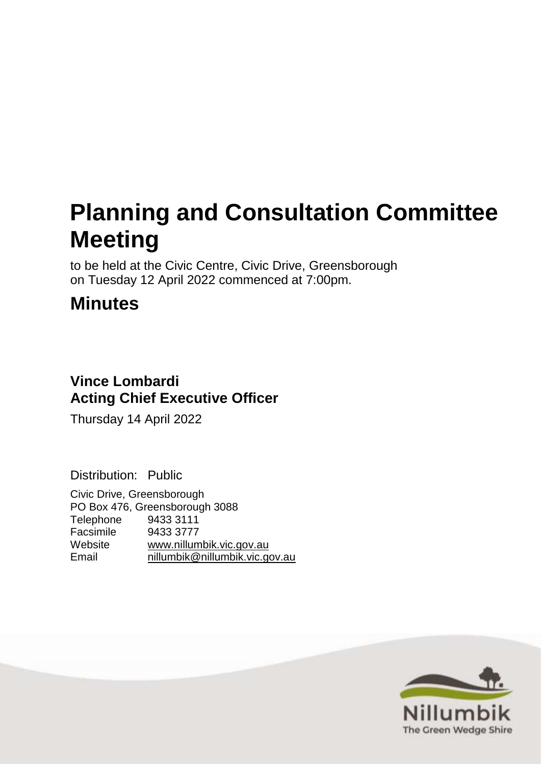# **Planning and Consultation Committee Meeting**

to be held at the Civic Centre, Civic Drive, Greensborough on Tuesday 12 April 2022 commenced at 7:00pm.

# **Minutes**

# **Vince Lombardi Acting Chief Executive Officer**

Thursday 14 April 2022

Distribution: Public

Civic Drive, Greensborough PO Box 476, Greensborough 3088 Telephone 9433 3111 Facsimile 9433 3777 Website [www.nillumbik.vic.gov.au](http://www.nillumbik.vic.gov.au/) Email [nillumbik@nillumbik.vic.gov.au](mailto:nillumbik@nillumbik.vic.gov.au)

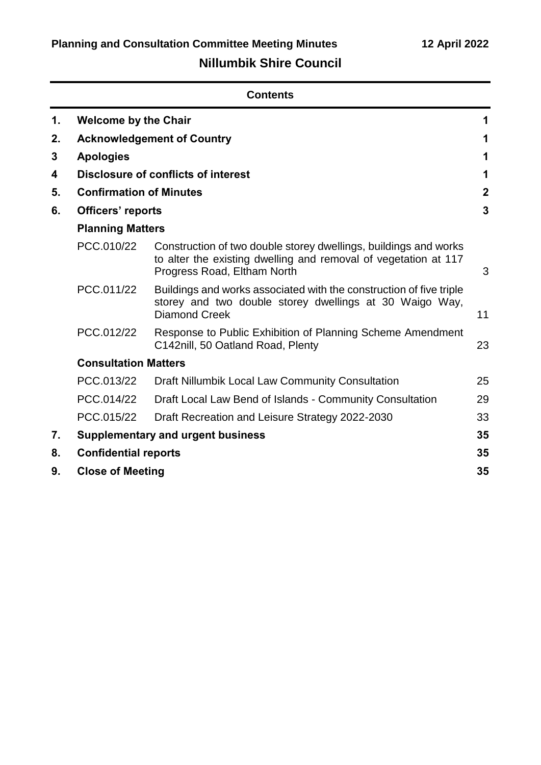# **Nillumbik Shire Council**

|    | <b>Contents</b>                |                                                                                                                                                                    |                |  |
|----|--------------------------------|--------------------------------------------------------------------------------------------------------------------------------------------------------------------|----------------|--|
| 1. | <b>Welcome by the Chair</b>    |                                                                                                                                                                    | 1              |  |
| 2. |                                | <b>Acknowledgement of Country</b>                                                                                                                                  | 1              |  |
| 3  | <b>Apologies</b>               |                                                                                                                                                                    | 1              |  |
| 4  |                                | <b>Disclosure of conflicts of interest</b>                                                                                                                         | 1              |  |
| 5. | <b>Confirmation of Minutes</b> |                                                                                                                                                                    | $\overline{2}$ |  |
| 6. | Officers' reports              |                                                                                                                                                                    | 3              |  |
|    | <b>Planning Matters</b>        |                                                                                                                                                                    |                |  |
|    | PCC.010/22                     | Construction of two double storey dwellings, buildings and works<br>to alter the existing dwelling and removal of vegetation at 117<br>Progress Road, Eltham North | 3              |  |
|    | PCC.011/22                     | Buildings and works associated with the construction of five triple<br>storey and two double storey dwellings at 30 Waigo Way,<br>Diamond Creek                    | 11             |  |
|    | PCC.012/22                     | Response to Public Exhibition of Planning Scheme Amendment<br>C142nill, 50 Oatland Road, Plenty                                                                    | 23             |  |
|    | <b>Consultation Matters</b>    |                                                                                                                                                                    |                |  |
|    | PCC.013/22                     | Draft Nillumbik Local Law Community Consultation                                                                                                                   | 25             |  |
|    | PCC.014/22                     | Draft Local Law Bend of Islands - Community Consultation                                                                                                           | 29             |  |
|    | PCC.015/22                     | Draft Recreation and Leisure Strategy 2022-2030                                                                                                                    | 33             |  |
| 7. |                                | <b>Supplementary and urgent business</b>                                                                                                                           | 35             |  |
| 8. | <b>Confidential reports</b>    |                                                                                                                                                                    | 35             |  |
| 9. | <b>Close of Meeting</b>        |                                                                                                                                                                    | 35             |  |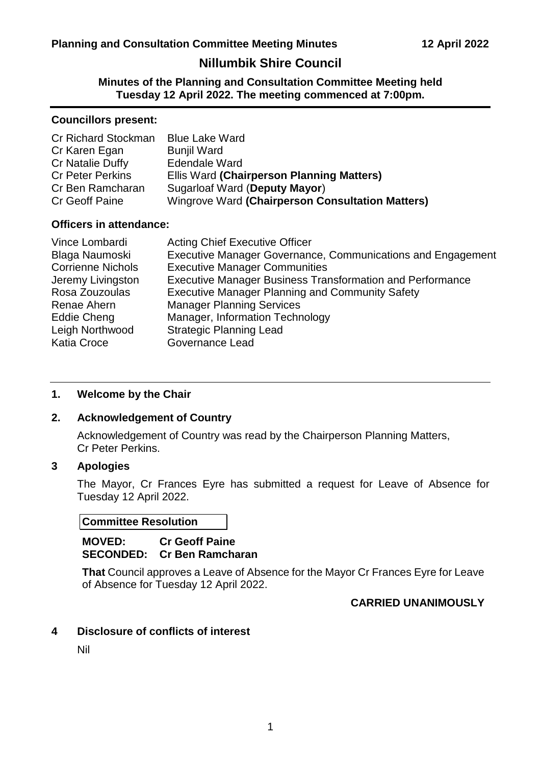# **Nillumbik Shire Council**

**Minutes of the Planning and Consultation Committee Meeting held Tuesday 12 April 2022. The meeting commenced at 7:00pm.**

#### **Councillors present:**

| Cr Richard Stockman     | <b>Blue Lake Ward</b>                            |
|-------------------------|--------------------------------------------------|
| Cr Karen Egan           | <b>Bunjil Ward</b>                               |
| Cr Natalie Duffy        | <b>Edendale Ward</b>                             |
| <b>Cr Peter Perkins</b> | Ellis Ward (Chairperson Planning Matters)        |
| Cr Ben Ramcharan        | Sugarloaf Ward (Deputy Mayor)                    |
| Cr Geoff Paine          | Wingrove Ward (Chairperson Consultation Matters) |

#### **Officers in attendance:**

| Vince Lombardi           | <b>Acting Chief Executive Officer</b>                            |
|--------------------------|------------------------------------------------------------------|
| Blaga Naumoski           | Executive Manager Governance, Communications and Engagement      |
| <b>Corrienne Nichols</b> | <b>Executive Manager Communities</b>                             |
| Jeremy Livingston        | <b>Executive Manager Business Transformation and Performance</b> |
| Rosa Zouzoulas           | <b>Executive Manager Planning and Community Safety</b>           |
| Renae Ahern              | <b>Manager Planning Services</b>                                 |
| Eddie Cheng              | Manager, Information Technology                                  |
| Leigh Northwood          | <b>Strategic Planning Lead</b>                                   |
| <b>Katia Croce</b>       | <b>Governance Lead</b>                                           |

#### <span id="page-2-0"></span>**1. Welcome by the Chair**

#### <span id="page-2-1"></span>**2. Acknowledgement of Country**

Acknowledgement of Country was read by the Chairperson Planning Matters, Cr Peter Perkins.

# <span id="page-2-2"></span>**3 Apologies**

The Mayor, Cr Frances Eyre has submitted a request for Leave of Absence for Tuesday 12 April 2022.

#### **Committee Resolution**

#### **MOVED: Cr Geoff Paine SECONDED: Cr Ben Ramcharan**

**That** Council approves a Leave of Absence for the Mayor Cr Frances Eyre for Leave of Absence for Tuesday 12 April 2022.

#### **CARRIED UNANIMOUSLY**

#### <span id="page-2-3"></span>**4 Disclosure of conflicts of interest**

Nil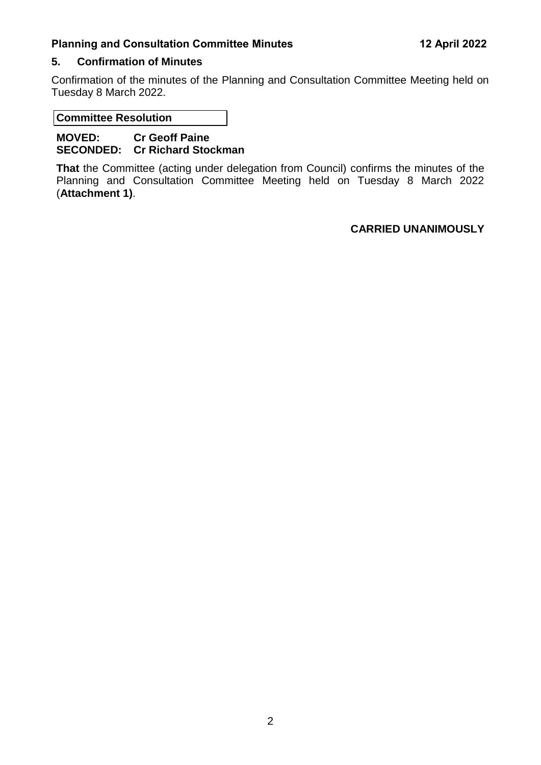### <span id="page-3-0"></span>**5. Confirmation of Minutes**

Confirmation of the minutes of the Planning and Consultation Committee Meeting held on Tuesday 8 March 2022.

**Committee Resolution**

**MOVED: Cr Geoff Paine SECONDED: Cr Richard Stockman** 

**That** the Committee (acting under delegation from Council) confirms the minutes of the Planning and Consultation Committee Meeting held on Tuesday 8 March 2022 (**Attachment 1)**.

# **CARRIED UNANIMOUSLY**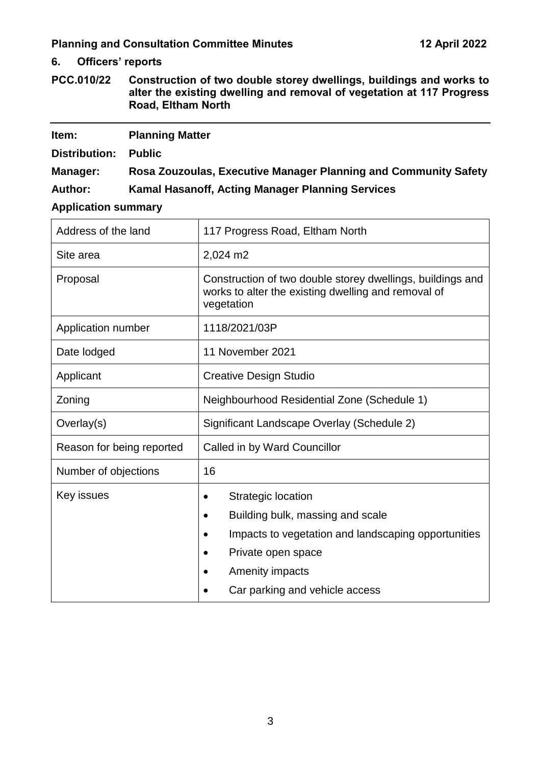# <span id="page-4-1"></span><span id="page-4-0"></span>**6. Officers' reports**

<span id="page-4-2"></span>

| PCC.010/22 | Construction of two double storey dwellings, buildings and works to   |
|------------|-----------------------------------------------------------------------|
|            | alter the existing dwelling and removal of vegetation at 117 Progress |
|            | Road, Eltham North                                                    |

| Item:          | <b>Planning Matter</b>                                          |
|----------------|-----------------------------------------------------------------|
| Distribution:  | <b>Public</b>                                                   |
| Manager:       | Rosa Zouzoulas, Executive Manager Planning and Community Safety |
| <b>Author:</b> | Kamal Hasanoff, Acting Manager Planning Services                |

# **Application summary**

| Address of the land       | 117 Progress Road, Eltham North                                                                                                                                                                                                        |
|---------------------------|----------------------------------------------------------------------------------------------------------------------------------------------------------------------------------------------------------------------------------------|
| Site area                 | 2,024 m2                                                                                                                                                                                                                               |
| Proposal                  | Construction of two double storey dwellings, buildings and<br>works to alter the existing dwelling and removal of<br>vegetation                                                                                                        |
| Application number        | 1118/2021/03P                                                                                                                                                                                                                          |
| Date lodged               | 11 November 2021                                                                                                                                                                                                                       |
| Applicant                 | <b>Creative Design Studio</b>                                                                                                                                                                                                          |
| Zoning                    | Neighbourhood Residential Zone (Schedule 1)                                                                                                                                                                                            |
| Overlay(s)                | Significant Landscape Overlay (Schedule 2)                                                                                                                                                                                             |
| Reason for being reported | Called in by Ward Councillor                                                                                                                                                                                                           |
| Number of objections      | 16                                                                                                                                                                                                                                     |
| Key issues                | <b>Strategic location</b><br>$\bullet$<br>Building bulk, massing and scale<br>$\bullet$<br>Impacts to vegetation and landscaping opportunities<br>Private open space<br>$\bullet$<br>Amenity impacts<br>Car parking and vehicle access |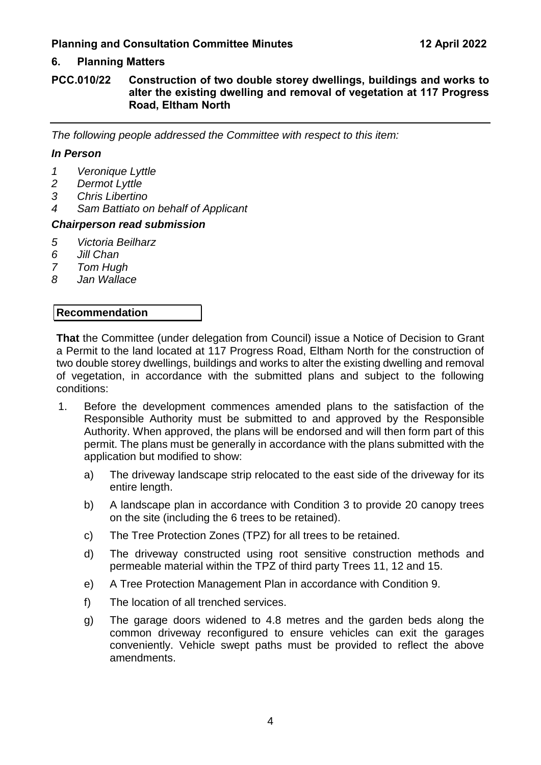# **6. Planning Matters**

#### **PCC.010/22 Construction of two double storey dwellings, buildings and works to alter the existing dwelling and removal of vegetation at 117 Progress Road, Eltham North**

*The following people addressed the Committee with respect to this item:*

#### *In Person*

- *1 Veronique Lyttle*
- *2 Dermot Lyttle*
- *3 Chris Libertino*
- *4 Sam Battiato on behalf of Applicant*

#### *Chairperson read submission*

- *5 Victoria Beilharz*
- *6 Jill Chan*
- *7 Tom Hugh*
- *8 Jan Wallace*

#### **Recommendation**

**That** the Committee (under delegation from Council) issue a Notice of Decision to Grant a Permit to the land located at 117 Progress Road, Eltham North for the construction of two double storey dwellings, buildings and works to alter the existing dwelling and removal of vegetation, in accordance with the submitted plans and subject to the following conditions:

- 1. Before the development commences amended plans to the satisfaction of the Responsible Authority must be submitted to and approved by the Responsible Authority. When approved, the plans will be endorsed and will then form part of this permit. The plans must be generally in accordance with the plans submitted with the application but modified to show:
	- a) The driveway landscape strip relocated to the east side of the driveway for its entire length.
	- b) A landscape plan in accordance with Condition 3 to provide 20 canopy trees on the site (including the 6 trees to be retained).
	- c) The Tree Protection Zones (TPZ) for all trees to be retained.
	- d) The driveway constructed using root sensitive construction methods and permeable material within the TPZ of third party Trees 11, 12 and 15.
	- e) A Tree Protection Management Plan in accordance with Condition 9.
	- f) The location of all trenched services.
	- g) The garage doors widened to 4.8 metres and the garden beds along the common driveway reconfigured to ensure vehicles can exit the garages conveniently. Vehicle swept paths must be provided to reflect the above amendments.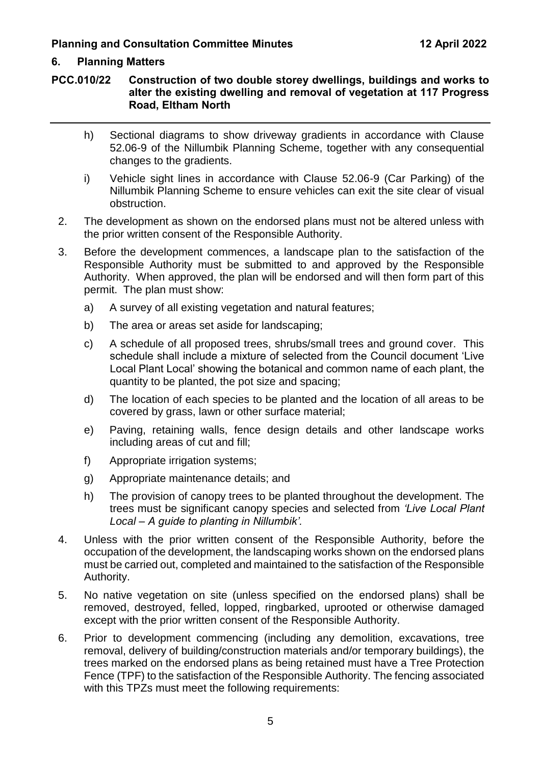# **6. Planning Matters**

#### **PCC.010/22 Construction of two double storey dwellings, buildings and works to alter the existing dwelling and removal of vegetation at 117 Progress Road, Eltham North**

- h) Sectional diagrams to show driveway gradients in accordance with Clause 52.06-9 of the Nillumbik Planning Scheme, together with any consequential changes to the gradients.
- i) Vehicle sight lines in accordance with Clause 52.06-9 (Car Parking) of the Nillumbik Planning Scheme to ensure vehicles can exit the site clear of visual obstruction.
- 2. The development as shown on the endorsed plans must not be altered unless with the prior written consent of the Responsible Authority.
- 3. Before the development commences, a landscape plan to the satisfaction of the Responsible Authority must be submitted to and approved by the Responsible Authority. When approved, the plan will be endorsed and will then form part of this permit. The plan must show:
	- a) A survey of all existing vegetation and natural features;
	- b) The area or areas set aside for landscaping;
	- c) A schedule of all proposed trees, shrubs/small trees and ground cover. This schedule shall include a mixture of selected from the Council document 'Live Local Plant Local' showing the botanical and common name of each plant, the quantity to be planted, the pot size and spacing;
	- d) The location of each species to be planted and the location of all areas to be covered by grass, lawn or other surface material;
	- e) Paving, retaining walls, fence design details and other landscape works including areas of cut and fill;
	- f) Appropriate irrigation systems;
	- g) Appropriate maintenance details; and
	- h) The provision of canopy trees to be planted throughout the development. The trees must be significant canopy species and selected from *'Live Local Plant Local – A guide to planting in Nillumbik'.*
- 4. Unless with the prior written consent of the Responsible Authority, before the occupation of the development, the landscaping works shown on the endorsed plans must be carried out, completed and maintained to the satisfaction of the Responsible Authority.
- 5. No native vegetation on site (unless specified on the endorsed plans) shall be removed, destroyed, felled, lopped, ringbarked, uprooted or otherwise damaged except with the prior written consent of the Responsible Authority.
- 6. Prior to development commencing (including any demolition, excavations, tree removal, delivery of building/construction materials and/or temporary buildings), the trees marked on the endorsed plans as being retained must have a Tree Protection Fence (TPF) to the satisfaction of the Responsible Authority. The fencing associated with this TPZs must meet the following requirements: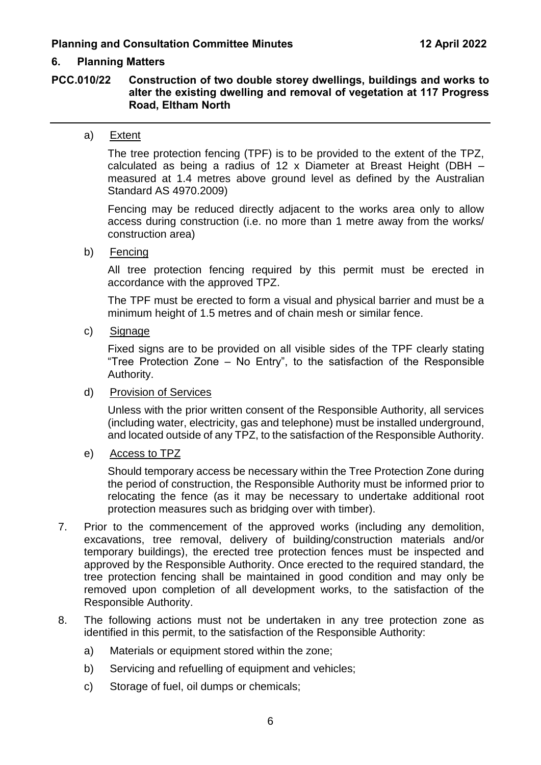#### **6. Planning Matters**

#### **PCC.010/22 Construction of two double storey dwellings, buildings and works to alter the existing dwelling and removal of vegetation at 117 Progress Road, Eltham North**

#### a) Extent

The tree protection fencing (TPF) is to be provided to the extent of the TPZ, calculated as being a radius of 12 x Diameter at Breast Height (DBH – measured at 1.4 metres above ground level as defined by the Australian Standard AS 4970.2009)

Fencing may be reduced directly adjacent to the works area only to allow access during construction (i.e. no more than 1 metre away from the works/ construction area)

b) Fencing

All tree protection fencing required by this permit must be erected in accordance with the approved TPZ.

The TPF must be erected to form a visual and physical barrier and must be a minimum height of 1.5 metres and of chain mesh or similar fence.

c) Signage

Fixed signs are to be provided on all visible sides of the TPF clearly stating "Tree Protection Zone – No Entry", to the satisfaction of the Responsible Authority.

d) Provision of Services

Unless with the prior written consent of the Responsible Authority, all services (including water, electricity, gas and telephone) must be installed underground, and located outside of any TPZ, to the satisfaction of the Responsible Authority.

e) Access to TPZ

Should temporary access be necessary within the Tree Protection Zone during the period of construction, the Responsible Authority must be informed prior to relocating the fence (as it may be necessary to undertake additional root protection measures such as bridging over with timber).

- 7. Prior to the commencement of the approved works (including any demolition, excavations, tree removal, delivery of building/construction materials and/or temporary buildings), the erected tree protection fences must be inspected and approved by the Responsible Authority. Once erected to the required standard, the tree protection fencing shall be maintained in good condition and may only be removed upon completion of all development works, to the satisfaction of the Responsible Authority.
- 8. The following actions must not be undertaken in any tree protection zone as identified in this permit, to the satisfaction of the Responsible Authority:
	- a) Materials or equipment stored within the zone;
	- b) Servicing and refuelling of equipment and vehicles;
	- c) Storage of fuel, oil dumps or chemicals;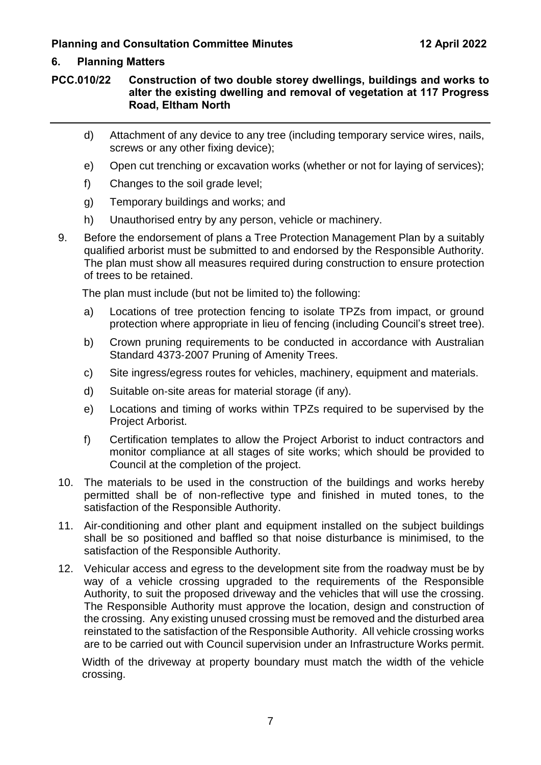# **6. Planning Matters**

### **PCC.010/22 Construction of two double storey dwellings, buildings and works to alter the existing dwelling and removal of vegetation at 117 Progress Road, Eltham North**

- d) Attachment of any device to any tree (including temporary service wires, nails, screws or any other fixing device);
- e) Open cut trenching or excavation works (whether or not for laying of services);
- f) Changes to the soil grade level;
- g) Temporary buildings and works; and
- h) Unauthorised entry by any person, vehicle or machinery.
- 9. Before the endorsement of plans a Tree Protection Management Plan by a suitably qualified arborist must be submitted to and endorsed by the Responsible Authority. The plan must show all measures required during construction to ensure protection of trees to be retained.

The plan must include (but not be limited to) the following:

- a) Locations of tree protection fencing to isolate TPZs from impact, or ground protection where appropriate in lieu of fencing (including Council's street tree).
- b) Crown pruning requirements to be conducted in accordance with Australian Standard 4373‐2007 Pruning of Amenity Trees.
- c) Site ingress/egress routes for vehicles, machinery, equipment and materials.
- d) Suitable on‐site areas for material storage (if any).
- e) Locations and timing of works within TPZs required to be supervised by the Project Arborist.
- f) Certification templates to allow the Project Arborist to induct contractors and monitor compliance at all stages of site works; which should be provided to Council at the completion of the project.
- 10. The materials to be used in the construction of the buildings and works hereby permitted shall be of non-reflective type and finished in muted tones, to the satisfaction of the Responsible Authority.
- 11. Air-conditioning and other plant and equipment installed on the subject buildings shall be so positioned and baffled so that noise disturbance is minimised, to the satisfaction of the Responsible Authority.
- 12. Vehicular access and egress to the development site from the roadway must be by way of a vehicle crossing upgraded to the requirements of the Responsible Authority, to suit the proposed driveway and the vehicles that will use the crossing. The Responsible Authority must approve the location, design and construction of the crossing. Any existing unused crossing must be removed and the disturbed area reinstated to the satisfaction of the Responsible Authority. All vehicle crossing works are to be carried out with Council supervision under an Infrastructure Works permit.

Width of the driveway at property boundary must match the width of the vehicle crossing.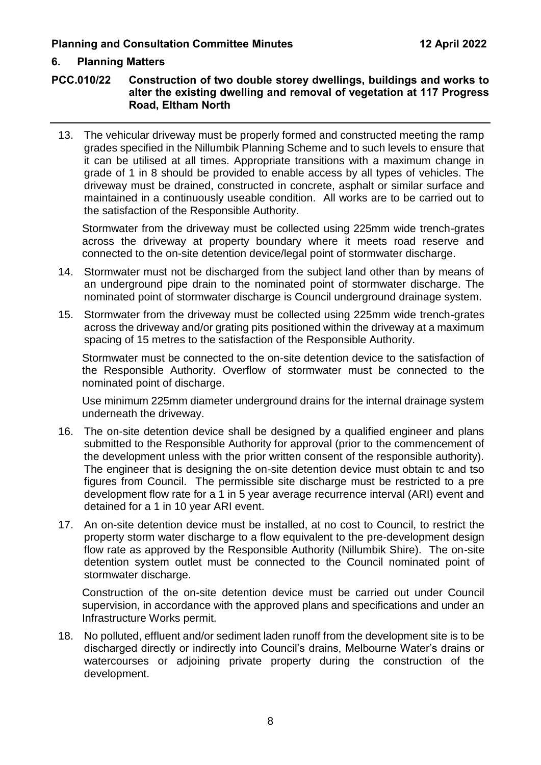# **6. Planning Matters**

#### **PCC.010/22 Construction of two double storey dwellings, buildings and works to alter the existing dwelling and removal of vegetation at 117 Progress Road, Eltham North**

13. The vehicular driveway must be properly formed and constructed meeting the ramp grades specified in the Nillumbik Planning Scheme and to such levels to ensure that it can be utilised at all times. Appropriate transitions with a maximum change in grade of 1 in 8 should be provided to enable access by all types of vehicles. The driveway must be drained, constructed in concrete, asphalt or similar surface and maintained in a continuously useable condition. All works are to be carried out to the satisfaction of the Responsible Authority.

Stormwater from the driveway must be collected using 225mm wide trench-grates across the driveway at property boundary where it meets road reserve and connected to the on-site detention device/legal point of stormwater discharge.

- 14. Stormwater must not be discharged from the subject land other than by means of an underground pipe drain to the nominated point of stormwater discharge. The nominated point of stormwater discharge is Council underground drainage system.
- 15. Stormwater from the driveway must be collected using 225mm wide trench-grates across the driveway and/or grating pits positioned within the driveway at a maximum spacing of 15 metres to the satisfaction of the Responsible Authority.

Stormwater must be connected to the on-site detention device to the satisfaction of the Responsible Authority. Overflow of stormwater must be connected to the nominated point of discharge.

Use minimum 225mm diameter underground drains for the internal drainage system underneath the driveway.

- 16. The on-site detention device shall be designed by a qualified engineer and plans submitted to the Responsible Authority for approval (prior to the commencement of the development unless with the prior written consent of the responsible authority). The engineer that is designing the on-site detention device must obtain tc and tso figures from Council. The permissible site discharge must be restricted to a pre development flow rate for a 1 in 5 year average recurrence interval (ARI) event and detained for a 1 in 10 year ARI event.
- 17. An on-site detention device must be installed, at no cost to Council, to restrict the property storm water discharge to a flow equivalent to the pre-development design flow rate as approved by the Responsible Authority (Nillumbik Shire). The on-site detention system outlet must be connected to the Council nominated point of stormwater discharge.

Construction of the on-site detention device must be carried out under Council supervision, in accordance with the approved plans and specifications and under an Infrastructure Works permit.

18. No polluted, effluent and/or sediment laden runoff from the development site is to be discharged directly or indirectly into Council's drains, Melbourne Water's drains or watercourses or adjoining private property during the construction of the development.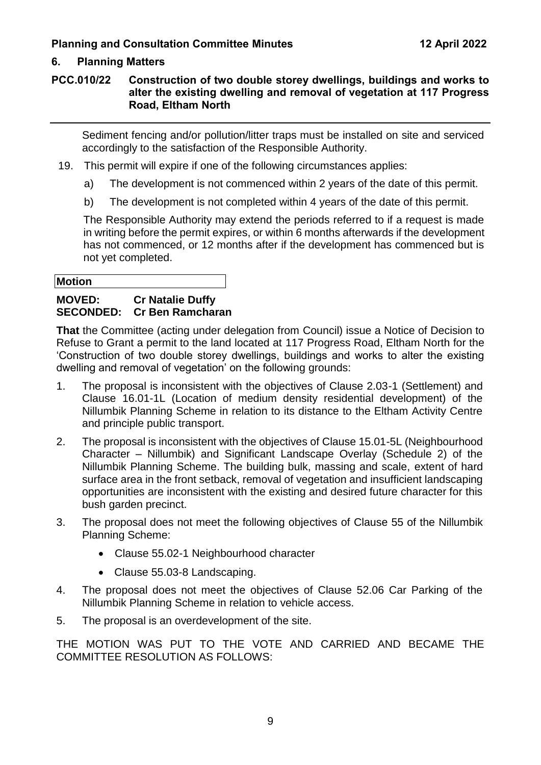# **6. Planning Matters**

### **PCC.010/22 Construction of two double storey dwellings, buildings and works to alter the existing dwelling and removal of vegetation at 117 Progress Road, Eltham North**

Sediment fencing and/or pollution/litter traps must be installed on site and serviced accordingly to the satisfaction of the Responsible Authority.

- 19. This permit will expire if one of the following circumstances applies:
	- a) The development is not commenced within 2 years of the date of this permit.
	- b) The development is not completed within 4 years of the date of this permit.

The Responsible Authority may extend the periods referred to if a request is made in writing before the permit expires, or within 6 months afterwards if the development has not commenced, or 12 months after if the development has commenced but is not yet completed.

#### **Motion**

# **MOVED: Cr Natalie Duffy SECONDED: Cr Ben Ramcharan**

**That** the Committee (acting under delegation from Council) issue a Notice of Decision to Refuse to Grant a permit to the land located at 117 Progress Road, Eltham North for the 'Construction of two double storey dwellings, buildings and works to alter the existing dwelling and removal of vegetation' on the following grounds:

- 1. The proposal is inconsistent with the objectives of Clause 2.03-1 (Settlement) and Clause 16.01-1L (Location of medium density residential development) of the Nillumbik Planning Scheme in relation to its distance to the Eltham Activity Centre and principle public transport.
- 2. The proposal is inconsistent with the objectives of Clause 15.01-5L (Neighbourhood Character – Nillumbik) and Significant Landscape Overlay (Schedule 2) of the Nillumbik Planning Scheme. The building bulk, massing and scale, extent of hard surface area in the front setback, removal of vegetation and insufficient landscaping opportunities are inconsistent with the existing and desired future character for this bush garden precinct.
- 3. The proposal does not meet the following objectives of Clause 55 of the Nillumbik Planning Scheme:
	- Clause 55.02-1 Neighbourhood character
	- Clause 55.03-8 Landscaping.
- 4. The proposal does not meet the objectives of Clause 52.06 Car Parking of the Nillumbik Planning Scheme in relation to vehicle access.
- 5. The proposal is an overdevelopment of the site.

THE MOTION WAS PUT TO THE VOTE AND CARRIED AND BECAME THE COMMITTEE RESOLUTION AS FOLLOWS: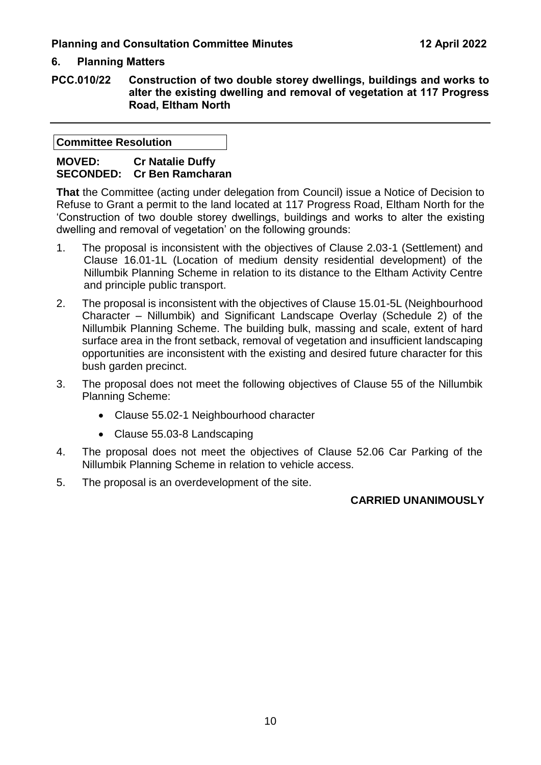# **6. Planning Matters**

**PCC.010/22 Construction of two double storey dwellings, buildings and works to alter the existing dwelling and removal of vegetation at 117 Progress Road, Eltham North**

**Committee Resolution**

# **MOVED: Cr Natalie Duffy SECONDED: Cr Ben Ramcharan**

**That** the Committee (acting under delegation from Council) issue a Notice of Decision to Refuse to Grant a permit to the land located at 117 Progress Road, Eltham North for the 'Construction of two double storey dwellings, buildings and works to alter the existing dwelling and removal of vegetation' on the following grounds:

- 1. The proposal is inconsistent with the objectives of Clause 2.03-1 (Settlement) and Clause 16.01-1L (Location of medium density residential development) of the Nillumbik Planning Scheme in relation to its distance to the Eltham Activity Centre and principle public transport.
- 2. The proposal is inconsistent with the objectives of Clause 15.01-5L (Neighbourhood Character – Nillumbik) and Significant Landscape Overlay (Schedule 2) of the Nillumbik Planning Scheme. The building bulk, massing and scale, extent of hard surface area in the front setback, removal of vegetation and insufficient landscaping opportunities are inconsistent with the existing and desired future character for this bush garden precinct.
- 3. The proposal does not meet the following objectives of Clause 55 of the Nillumbik Planning Scheme:
	- Clause 55.02-1 Neighbourhood character
	- Clause 55.03-8 Landscaping
- 4. The proposal does not meet the objectives of Clause 52.06 Car Parking of the Nillumbik Planning Scheme in relation to vehicle access.
- 5. The proposal is an overdevelopment of the site.

#### **CARRIED UNANIMOUSLY**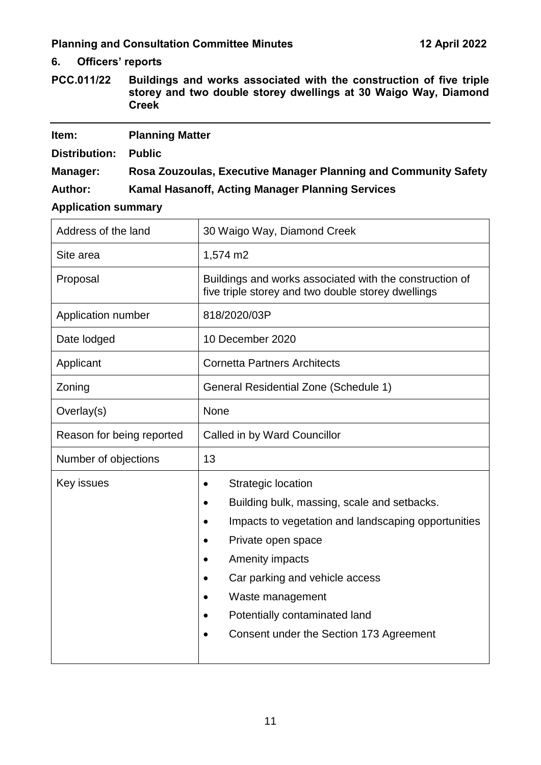**6. Officers' reports**

<span id="page-12-0"></span>**PCC.011/22 Buildings and works associated with the construction of five triple storey and two double storey dwellings at 30 Waigo Way, Diamond Creek**

| Item:          | <b>Planning Matter</b>                                          |
|----------------|-----------------------------------------------------------------|
| Distribution:  | <b>Public</b>                                                   |
| Manager:       | Rosa Zouzoulas, Executive Manager Planning and Community Safety |
| <b>Author:</b> | Kamal Hasanoff, Acting Manager Planning Services                |

**Application summary**

| Address of the land       | 30 Waigo Way, Diamond Creek                                                                                                                                                                                                                                                                                                                                         |
|---------------------------|---------------------------------------------------------------------------------------------------------------------------------------------------------------------------------------------------------------------------------------------------------------------------------------------------------------------------------------------------------------------|
| Site area                 | 1,574 m2                                                                                                                                                                                                                                                                                                                                                            |
| Proposal                  | Buildings and works associated with the construction of<br>five triple storey and two double storey dwellings                                                                                                                                                                                                                                                       |
| Application number        | 818/2020/03P                                                                                                                                                                                                                                                                                                                                                        |
| Date lodged               | 10 December 2020                                                                                                                                                                                                                                                                                                                                                    |
| Applicant                 | <b>Cornetta Partners Architects</b>                                                                                                                                                                                                                                                                                                                                 |
| Zoning                    | <b>General Residential Zone (Schedule 1)</b>                                                                                                                                                                                                                                                                                                                        |
| Overlay(s)                | None                                                                                                                                                                                                                                                                                                                                                                |
| Reason for being reported | Called in by Ward Councillor                                                                                                                                                                                                                                                                                                                                        |
| Number of objections      | 13                                                                                                                                                                                                                                                                                                                                                                  |
| Key issues                | <b>Strategic location</b><br>٠<br>Building bulk, massing, scale and setbacks.<br>$\bullet$<br>Impacts to vegetation and landscaping opportunities<br>Private open space<br>Amenity impacts<br>$\bullet$<br>Car parking and vehicle access<br>$\bullet$<br>Waste management<br>$\bullet$<br>Potentially contaminated land<br>Consent under the Section 173 Agreement |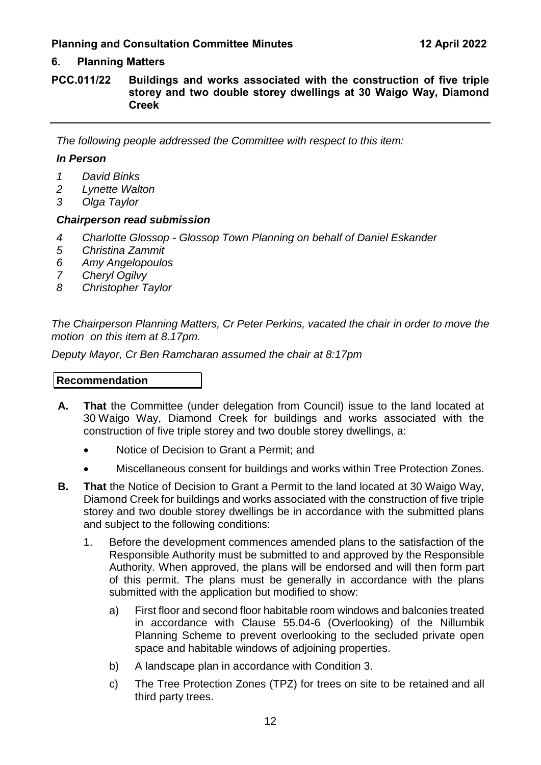# **6. Planning Matters**

**PCC.011/22 Buildings and works associated with the construction of five triple storey and two double storey dwellings at 30 Waigo Way, Diamond Creek**

*The following people addressed the Committee with respect to this item:*

#### *In Person*

- *1 David Binks*
- *2 Lynette Walton*
- *3 Olga Taylor*

#### *Chairperson read submission*

- *4 Charlotte Glossop - Glossop Town Planning on behalf of Daniel Eskander*
- *5 Christina Zammit*
- *6 Amy Angelopoulos*
- *7 Cheryl Ogilvy*
- *8 Christopher Taylor*

*The Chairperson Planning Matters, Cr Peter Perkins, vacated the chair in order to move the motion on this item at 8.17pm.*

*Deputy Mayor, Cr Ben Ramcharan assumed the chair at 8:17pm*

#### **Recommendation**

- **A. That** the Committee (under delegation from Council) issue to the land located at 30 Waigo Way, Diamond Creek for buildings and works associated with the construction of five triple storey and two double storey dwellings, a:
	- Notice of Decision to Grant a Permit; and
	- Miscellaneous consent for buildings and works within Tree Protection Zones.
- **B. That** the Notice of Decision to Grant a Permit to the land located at 30 Waigo Way, Diamond Creek for buildings and works associated with the construction of five triple storey and two double storey dwellings be in accordance with the submitted plans and subject to the following conditions:
	- 1. Before the development commences amended plans to the satisfaction of the Responsible Authority must be submitted to and approved by the Responsible Authority. When approved, the plans will be endorsed and will then form part of this permit. The plans must be generally in accordance with the plans submitted with the application but modified to show:
		- a) First floor and second floor habitable room windows and balconies treated in accordance with Clause 55.04-6 (Overlooking) of the Nillumbik Planning Scheme to prevent overlooking to the secluded private open space and habitable windows of adjoining properties.
		- b) A landscape plan in accordance with Condition 3.
		- c) The Tree Protection Zones (TPZ) for trees on site to be retained and all third party trees.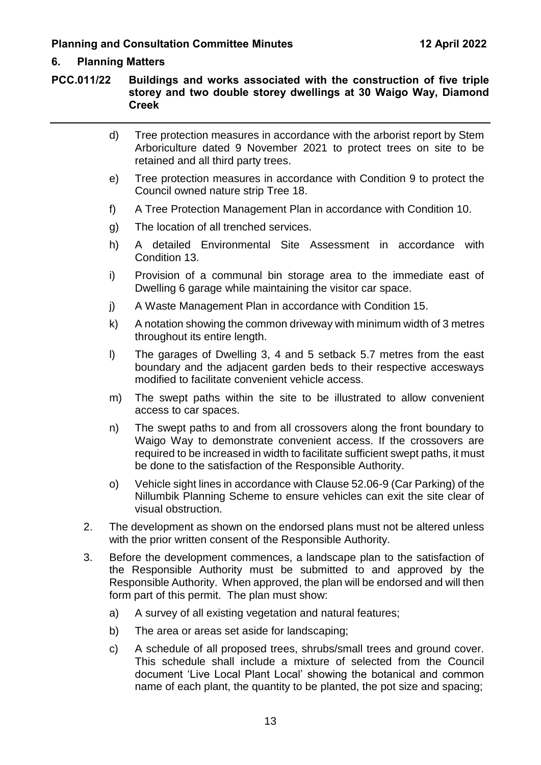### **6. Planning Matters**

**PCC.011/22 Buildings and works associated with the construction of five triple storey and two double storey dwellings at 30 Waigo Way, Diamond Creek**

|    | d)                                                                                                                                                                                                                                                                                | Tree protection measures in accordance with the arborist report by Stem<br>Arboriculture dated 9 November 2021 to protect trees on site to be<br>retained and all third party trees.                                                                                                        |
|----|-----------------------------------------------------------------------------------------------------------------------------------------------------------------------------------------------------------------------------------------------------------------------------------|---------------------------------------------------------------------------------------------------------------------------------------------------------------------------------------------------------------------------------------------------------------------------------------------|
|    | e)                                                                                                                                                                                                                                                                                | Tree protection measures in accordance with Condition 9 to protect the<br>Council owned nature strip Tree 18.                                                                                                                                                                               |
|    | f)                                                                                                                                                                                                                                                                                | A Tree Protection Management Plan in accordance with Condition 10.                                                                                                                                                                                                                          |
|    | g)                                                                                                                                                                                                                                                                                | The location of all trenched services.                                                                                                                                                                                                                                                      |
|    | h)                                                                                                                                                                                                                                                                                | A detailed Environmental Site Assessment in accordance with<br>Condition 13.                                                                                                                                                                                                                |
|    | i)                                                                                                                                                                                                                                                                                | Provision of a communal bin storage area to the immediate east of<br>Dwelling 6 garage while maintaining the visitor car space.                                                                                                                                                             |
|    | j)                                                                                                                                                                                                                                                                                | A Waste Management Plan in accordance with Condition 15.                                                                                                                                                                                                                                    |
|    | k)                                                                                                                                                                                                                                                                                | A notation showing the common driveway with minimum width of 3 metres<br>throughout its entire length.                                                                                                                                                                                      |
|    | $\vert$                                                                                                                                                                                                                                                                           | The garages of Dwelling 3, 4 and 5 setback 5.7 metres from the east<br>boundary and the adjacent garden beds to their respective accesways<br>modified to facilitate convenient vehicle access.                                                                                             |
|    | m)                                                                                                                                                                                                                                                                                | The swept paths within the site to be illustrated to allow convenient<br>access to car spaces.                                                                                                                                                                                              |
|    | n)                                                                                                                                                                                                                                                                                | The swept paths to and from all crossovers along the front boundary to<br>Waigo Way to demonstrate convenient access. If the crossovers are<br>required to be increased in width to facilitate sufficient swept paths, it must<br>be done to the satisfaction of the Responsible Authority. |
|    | $\circ$                                                                                                                                                                                                                                                                           | Vehicle sight lines in accordance with Clause 52.06-9 (Car Parking) of the<br>Nillumbik Planning Scheme to ensure vehicles can exit the site clear of<br>visual obstruction.                                                                                                                |
|    |                                                                                                                                                                                                                                                                                   | The development as shown on the endorsed plans must not be altered unless<br>with the prior written consent of the Responsible Authority.                                                                                                                                                   |
| 3. | Before the development commences, a landscape plan to the satisfaction of<br>the Responsible Authority must be submitted to and approved by the<br>Responsible Authority. When approved, the plan will be endorsed and will then<br>form part of this permit. The plan must show: |                                                                                                                                                                                                                                                                                             |
|    | a)                                                                                                                                                                                                                                                                                | A survey of all existing vegetation and natural features;                                                                                                                                                                                                                                   |
|    | b)                                                                                                                                                                                                                                                                                | The area or areas set aside for landscaping;                                                                                                                                                                                                                                                |
|    | c)                                                                                                                                                                                                                                                                                | A schedule of all proposed trees, shrubs/small trees and ground cover.                                                                                                                                                                                                                      |

This schedule shall include a mixture of selected from the Council document 'Live Local Plant Local' showing the botanical and common name of each plant, the quantity to be planted, the pot size and spacing;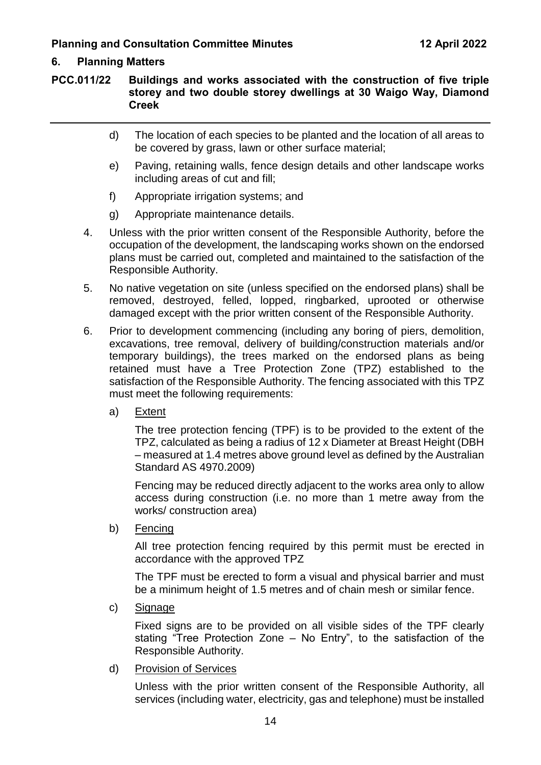# **6. Planning Matters**

**PCC.011/22 Buildings and works associated with the construction of five triple storey and two double storey dwellings at 30 Waigo Way, Diamond Creek**

- d) The location of each species to be planted and the location of all areas to be covered by grass, lawn or other surface material;
- e) Paving, retaining walls, fence design details and other landscape works including areas of cut and fill;
- f) Appropriate irrigation systems; and
- g) Appropriate maintenance details.
- 4. Unless with the prior written consent of the Responsible Authority, before the occupation of the development, the landscaping works shown on the endorsed plans must be carried out, completed and maintained to the satisfaction of the Responsible Authority.
- 5. No native vegetation on site (unless specified on the endorsed plans) shall be removed, destroyed, felled, lopped, ringbarked, uprooted or otherwise damaged except with the prior written consent of the Responsible Authority.
- 6. Prior to development commencing (including any boring of piers, demolition, excavations, tree removal, delivery of building/construction materials and/or temporary buildings), the trees marked on the endorsed plans as being retained must have a Tree Protection Zone (TPZ) established to the satisfaction of the Responsible Authority. The fencing associated with this TPZ must meet the following requirements:
	- a) Extent

The tree protection fencing (TPF) is to be provided to the extent of the TPZ, calculated as being a radius of 12 x Diameter at Breast Height (DBH – measured at 1.4 metres above ground level as defined by the Australian Standard AS 4970.2009)

Fencing may be reduced directly adjacent to the works area only to allow access during construction (i.e. no more than 1 metre away from the works/ construction area)

b) Fencing

All tree protection fencing required by this permit must be erected in accordance with the approved TPZ

The TPF must be erected to form a visual and physical barrier and must be a minimum height of 1.5 metres and of chain mesh or similar fence.

c) Signage

Fixed signs are to be provided on all visible sides of the TPF clearly stating "Tree Protection Zone – No Entry", to the satisfaction of the Responsible Authority.

d) Provision of Services

Unless with the prior written consent of the Responsible Authority, all services (including water, electricity, gas and telephone) must be installed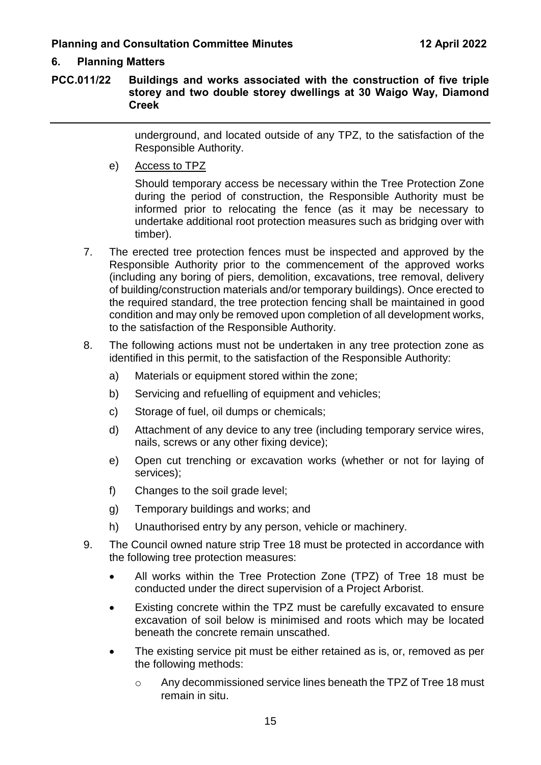# **6. Planning Matters**

**PCC.011/22 Buildings and works associated with the construction of five triple storey and two double storey dwellings at 30 Waigo Way, Diamond Creek**

> underground, and located outside of any TPZ, to the satisfaction of the Responsible Authority.

e) Access to TPZ

Should temporary access be necessary within the Tree Protection Zone during the period of construction, the Responsible Authority must be informed prior to relocating the fence (as it may be necessary to undertake additional root protection measures such as bridging over with timber).

- 7. The erected tree protection fences must be inspected and approved by the Responsible Authority prior to the commencement of the approved works (including any boring of piers, demolition, excavations, tree removal, delivery of building/construction materials and/or temporary buildings). Once erected to the required standard, the tree protection fencing shall be maintained in good condition and may only be removed upon completion of all development works, to the satisfaction of the Responsible Authority.
- 8. The following actions must not be undertaken in any tree protection zone as identified in this permit, to the satisfaction of the Responsible Authority:
	- a) Materials or equipment stored within the zone;
	- b) Servicing and refuelling of equipment and vehicles;
	- c) Storage of fuel, oil dumps or chemicals;
	- d) Attachment of any device to any tree (including temporary service wires, nails, screws or any other fixing device);
	- e) Open cut trenching or excavation works (whether or not for laying of services);
	- f) Changes to the soil grade level;
	- g) Temporary buildings and works; and
	- h) Unauthorised entry by any person, vehicle or machinery.
- 9. The Council owned nature strip Tree 18 must be protected in accordance with the following tree protection measures:
	- All works within the Tree Protection Zone (TPZ) of Tree 18 must be conducted under the direct supervision of a Project Arborist.
	- Existing concrete within the TPZ must be carefully excavated to ensure excavation of soil below is minimised and roots which may be located beneath the concrete remain unscathed.
	- The existing service pit must be either retained as is, or, removed as per the following methods:
		- o Any decommissioned service lines beneath the TPZ of Tree 18 must remain in situ.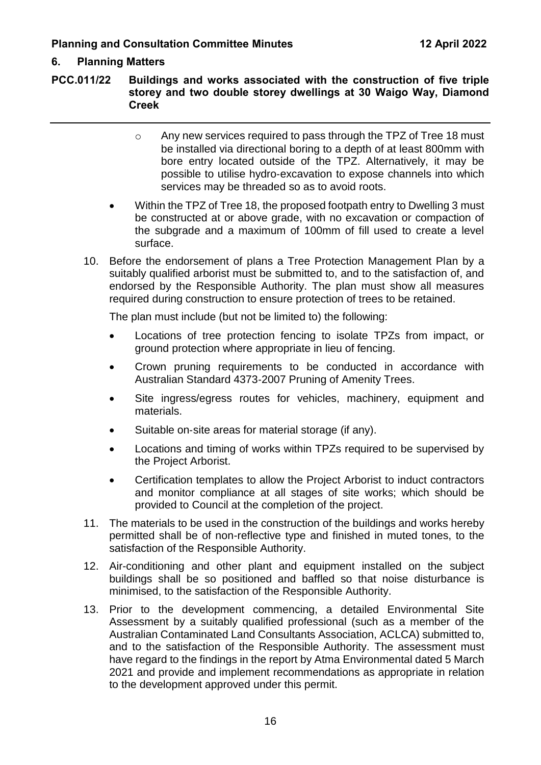# **6. Planning Matters**

**PCC.011/22 Buildings and works associated with the construction of five triple storey and two double storey dwellings at 30 Waigo Way, Diamond Creek**

- o Any new services required to pass through the TPZ of Tree 18 must be installed via directional boring to a depth of at least 800mm with bore entry located outside of the TPZ. Alternatively, it may be possible to utilise hydro‐excavation to expose channels into which services may be threaded so as to avoid roots.
- Within the TPZ of Tree 18, the proposed footpath entry to Dwelling 3 must be constructed at or above grade, with no excavation or compaction of the subgrade and a maximum of 100mm of fill used to create a level surface.
- 10. Before the endorsement of plans a Tree Protection Management Plan by a suitably qualified arborist must be submitted to, and to the satisfaction of, and endorsed by the Responsible Authority. The plan must show all measures required during construction to ensure protection of trees to be retained.

The plan must include (but not be limited to) the following:

- Locations of tree protection fencing to isolate TPZs from impact, or ground protection where appropriate in lieu of fencing.
- Crown pruning requirements to be conducted in accordance with Australian Standard 4373‐2007 Pruning of Amenity Trees.
- Site ingress/egress routes for vehicles, machinery, equipment and materials.
- Suitable on‐site areas for material storage (if any).
- Locations and timing of works within TPZs required to be supervised by the Project Arborist.
- Certification templates to allow the Project Arborist to induct contractors and monitor compliance at all stages of site works; which should be provided to Council at the completion of the project.
- 11. The materials to be used in the construction of the buildings and works hereby permitted shall be of non-reflective type and finished in muted tones, to the satisfaction of the Responsible Authority.
- 12. Air-conditioning and other plant and equipment installed on the subject buildings shall be so positioned and baffled so that noise disturbance is minimised, to the satisfaction of the Responsible Authority.
- 13. Prior to the development commencing, a detailed Environmental Site Assessment by a suitably qualified professional (such as a member of the Australian Contaminated Land Consultants Association, ACLCA) submitted to, and to the satisfaction of the Responsible Authority. The assessment must have regard to the findings in the report by Atma Environmental dated 5 March 2021 and provide and implement recommendations as appropriate in relation to the development approved under this permit.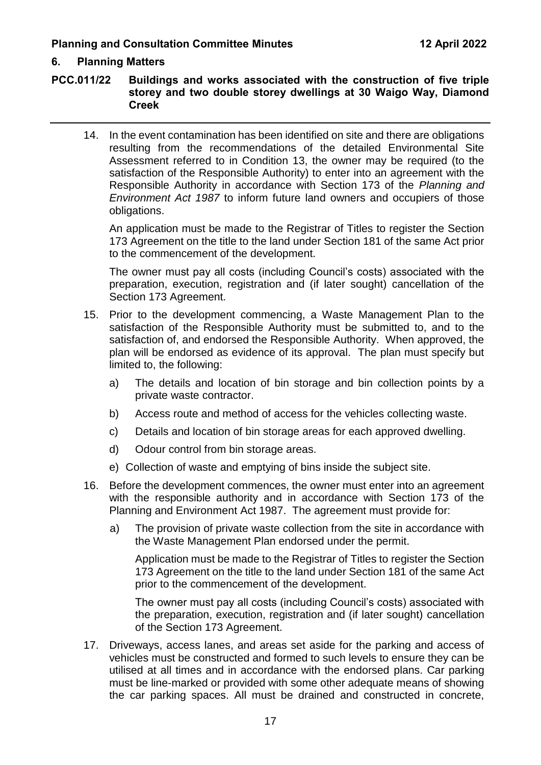#### **6. Planning Matters**

**PCC.011/22 Buildings and works associated with the construction of five triple storey and two double storey dwellings at 30 Waigo Way, Diamond Creek**

14. In the event contamination has been identified on site and there are obligations resulting from the recommendations of the detailed Environmental Site Assessment referred to in Condition 13, the owner may be required (to the satisfaction of the Responsible Authority) to enter into an agreement with the Responsible Authority in accordance with Section 173 of the *Planning and Environment Act 1987* to inform future land owners and occupiers of those obligations.

An application must be made to the Registrar of Titles to register the Section 173 Agreement on the title to the land under Section 181 of the same Act prior to the commencement of the development.

The owner must pay all costs (including Council's costs) associated with the preparation, execution, registration and (if later sought) cancellation of the Section 173 Agreement.

- 15. Prior to the development commencing, a Waste Management Plan to the satisfaction of the Responsible Authority must be submitted to, and to the satisfaction of, and endorsed the Responsible Authority. When approved, the plan will be endorsed as evidence of its approval. The plan must specify but limited to, the following:
	- a) The details and location of bin storage and bin collection points by a private waste contractor.
	- b) Access route and method of access for the vehicles collecting waste.
	- c) Details and location of bin storage areas for each approved dwelling.
	- d) Odour control from bin storage areas.
	- e) Collection of waste and emptying of bins inside the subject site.
- 16. Before the development commences, the owner must enter into an agreement with the responsible authority and in accordance with Section 173 of the Planning and Environment Act 1987. The agreement must provide for:
	- a) The provision of private waste collection from the site in accordance with the Waste Management Plan endorsed under the permit.

Application must be made to the Registrar of Titles to register the Section 173 Agreement on the title to the land under Section 181 of the same Act prior to the commencement of the development.

The owner must pay all costs (including Council's costs) associated with the preparation, execution, registration and (if later sought) cancellation of the Section 173 Agreement.

17. Driveways, access lanes, and areas set aside for the parking and access of vehicles must be constructed and formed to such levels to ensure they can be utilised at all times and in accordance with the endorsed plans. Car parking must be line-marked or provided with some other adequate means of showing the car parking spaces. All must be drained and constructed in concrete,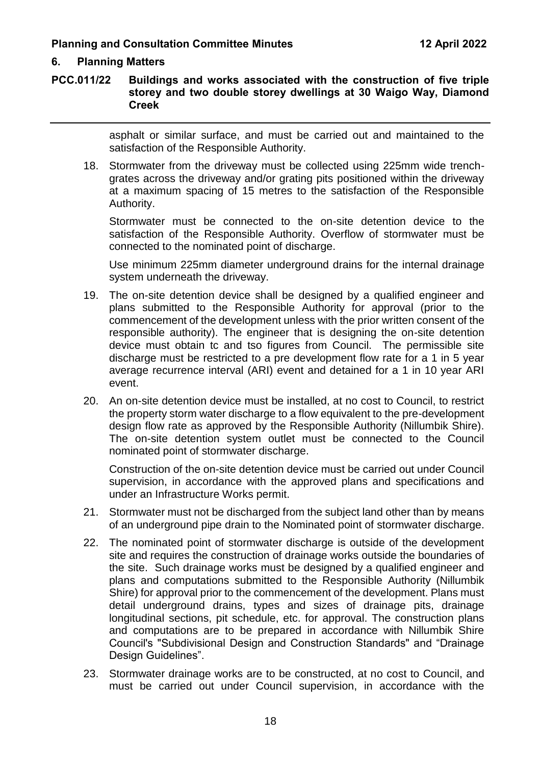#### **6. Planning Matters**

#### **PCC.011/22 Buildings and works associated with the construction of five triple storey and two double storey dwellings at 30 Waigo Way, Diamond Creek**

asphalt or similar surface, and must be carried out and maintained to the satisfaction of the Responsible Authority.

18. Stormwater from the driveway must be collected using 225mm wide trenchgrates across the driveway and/or grating pits positioned within the driveway at a maximum spacing of 15 metres to the satisfaction of the Responsible Authority.

Stormwater must be connected to the on-site detention device to the satisfaction of the Responsible Authority. Overflow of stormwater must be connected to the nominated point of discharge.

Use minimum 225mm diameter underground drains for the internal drainage system underneath the driveway.

- 19. The on-site detention device shall be designed by a qualified engineer and plans submitted to the Responsible Authority for approval (prior to the commencement of the development unless with the prior written consent of the responsible authority). The engineer that is designing the on-site detention device must obtain tc and tso figures from Council. The permissible site discharge must be restricted to a pre development flow rate for a 1 in 5 year average recurrence interval (ARI) event and detained for a 1 in 10 year ARI event.
- 20. An on-site detention device must be installed, at no cost to Council, to restrict the property storm water discharge to a flow equivalent to the pre-development design flow rate as approved by the Responsible Authority (Nillumbik Shire). The on-site detention system outlet must be connected to the Council nominated point of stormwater discharge.

Construction of the on-site detention device must be carried out under Council supervision, in accordance with the approved plans and specifications and under an Infrastructure Works permit.

- 21. Stormwater must not be discharged from the subject land other than by means of an underground pipe drain to the Nominated point of stormwater discharge.
- 22. The nominated point of stormwater discharge is outside of the development site and requires the construction of drainage works outside the boundaries of the site. Such drainage works must be designed by a qualified engineer and plans and computations submitted to the Responsible Authority (Nillumbik Shire) for approval prior to the commencement of the development. Plans must detail underground drains, types and sizes of drainage pits, drainage longitudinal sections, pit schedule, etc. for approval. The construction plans and computations are to be prepared in accordance with Nillumbik Shire Council's "Subdivisional Design and Construction Standards" and "Drainage Design Guidelines".
- 23. Stormwater drainage works are to be constructed, at no cost to Council, and must be carried out under Council supervision, in accordance with the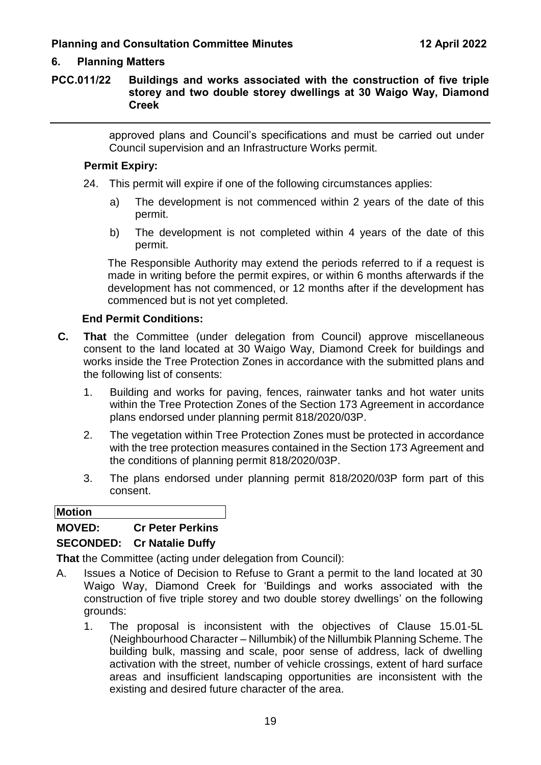# **6. Planning Matters**

#### **PCC.011/22 Buildings and works associated with the construction of five triple storey and two double storey dwellings at 30 Waigo Way, Diamond Creek**

approved plans and Council's specifications and must be carried out under Council supervision and an Infrastructure Works permit.

#### **Permit Expiry:**

- 24. This permit will expire if one of the following circumstances applies:
	- a) The development is not commenced within 2 years of the date of this permit.
	- b) The development is not completed within 4 years of the date of this permit.

The Responsible Authority may extend the periods referred to if a request is made in writing before the permit expires, or within 6 months afterwards if the development has not commenced, or 12 months after if the development has commenced but is not yet completed.

#### **End Permit Conditions:**

- **C. That** the Committee (under delegation from Council) approve miscellaneous consent to the land located at 30 Waigo Way, Diamond Creek for buildings and works inside the Tree Protection Zones in accordance with the submitted plans and the following list of consents:
	- 1. Building and works for paving, fences, rainwater tanks and hot water units within the Tree Protection Zones of the Section 173 Agreement in accordance plans endorsed under planning permit 818/2020/03P.
	- 2. The vegetation within Tree Protection Zones must be protected in accordance with the tree protection measures contained in the Section 173 Agreement and the conditions of planning permit 818/2020/03P.
	- 3. The plans endorsed under planning permit 818/2020/03P form part of this consent.

**Motion**

#### **MOVED: Cr Peter Perkins**

#### **SECONDED: Cr Natalie Duffy**

**That** the Committee (acting under delegation from Council):

- A. Issues a Notice of Decision to Refuse to Grant a permit to the land located at 30 Waigo Way, Diamond Creek for 'Buildings and works associated with the construction of five triple storey and two double storey dwellings' on the following grounds:
	- 1. The proposal is inconsistent with the objectives of Clause 15.01-5L (Neighbourhood Character – Nillumbik) of the Nillumbik Planning Scheme. The building bulk, massing and scale, poor sense of address, lack of dwelling activation with the street, number of vehicle crossings, extent of hard surface areas and insufficient landscaping opportunities are inconsistent with the existing and desired future character of the area.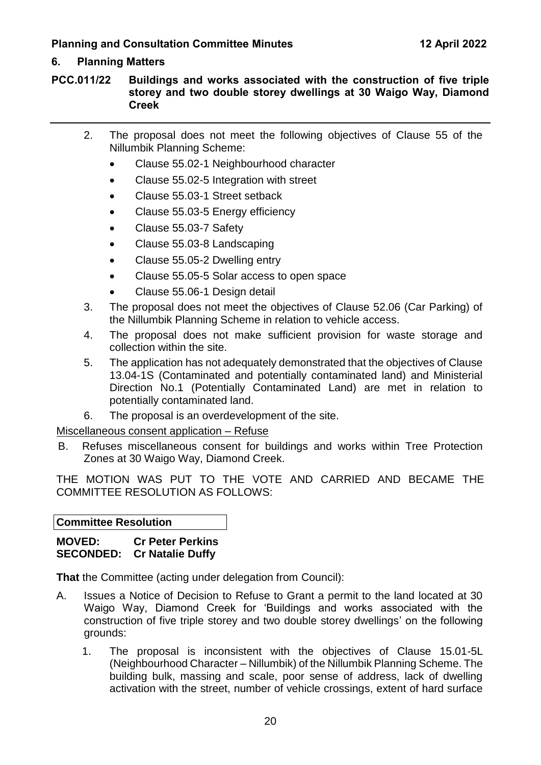# **6. Planning Matters**

**PCC.011/22 Buildings and works associated with the construction of five triple storey and two double storey dwellings at 30 Waigo Way, Diamond Creek**

- 2. The proposal does not meet the following objectives of Clause 55 of the Nillumbik Planning Scheme:
	- Clause 55.02-1 Neighbourhood character
	- Clause 55.02-5 Integration with street
	- Clause 55.03-1 Street setback
	- Clause 55.03-5 Energy efficiency
	- Clause 55.03-7 Safety
	- Clause 55.03-8 Landscaping
	- Clause 55.05-2 Dwelling entry
	- Clause 55.05-5 Solar access to open space
	- Clause 55.06-1 Design detail
- 3. The proposal does not meet the objectives of Clause 52.06 (Car Parking) of the Nillumbik Planning Scheme in relation to vehicle access.
- 4. The proposal does not make sufficient provision for waste storage and collection within the site.
- 5. The application has not adequately demonstrated that the objectives of Clause 13.04-1S (Contaminated and potentially contaminated land) and Ministerial Direction No.1 (Potentially Contaminated Land) are met in relation to potentially contaminated land.
- 6. The proposal is an overdevelopment of the site.

#### Miscellaneous consent application – Refuse

B. Refuses miscellaneous consent for buildings and works within Tree Protection Zones at 30 Waigo Way, Diamond Creek.

THE MOTION WAS PUT TO THE VOTE AND CARRIED AND BECAME THE COMMITTEE RESOLUTION AS FOLLOWS:

**Committee Resolution**

#### **MOVED: Cr Peter Perkins SECONDED: Cr Natalie Duffy**

**That** the Committee (acting under delegation from Council):

- A. Issues a Notice of Decision to Refuse to Grant a permit to the land located at 30 Waigo Way, Diamond Creek for 'Buildings and works associated with the construction of five triple storey and two double storey dwellings' on the following grounds:
	- 1. The proposal is inconsistent with the objectives of Clause 15.01-5L (Neighbourhood Character – Nillumbik) of the Nillumbik Planning Scheme. The building bulk, massing and scale, poor sense of address, lack of dwelling activation with the street, number of vehicle crossings, extent of hard surface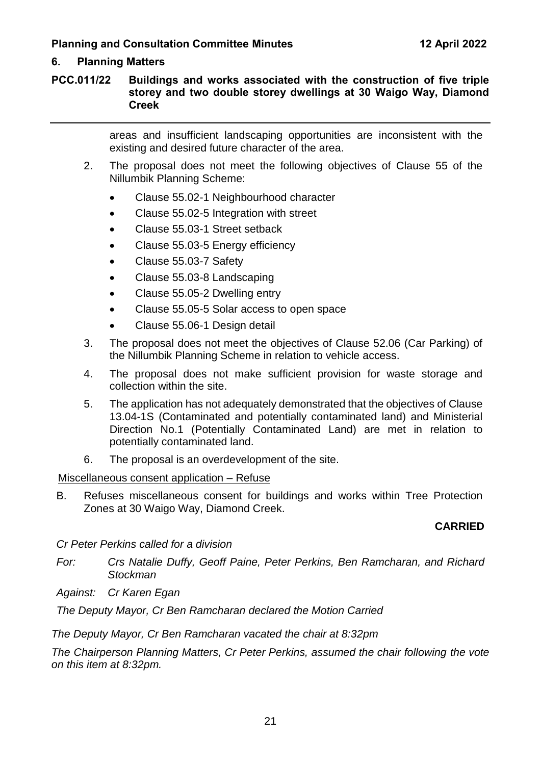# **6. Planning Matters**

**PCC.011/22 Buildings and works associated with the construction of five triple storey and two double storey dwellings at 30 Waigo Way, Diamond Creek**

> areas and insufficient landscaping opportunities are inconsistent with the existing and desired future character of the area.

- 2. The proposal does not meet the following objectives of Clause 55 of the Nillumbik Planning Scheme:
	- Clause 55.02-1 Neighbourhood character
	- Clause 55.02-5 Integration with street
	- Clause 55.03-1 Street setback
	- Clause 55.03-5 Energy efficiency
	- Clause 55.03-7 Safety
	- Clause 55.03-8 Landscaping
	- Clause 55.05-2 Dwelling entry
	- Clause 55.05-5 Solar access to open space
	- Clause 55.06-1 Design detail
- 3. The proposal does not meet the objectives of Clause 52.06 (Car Parking) of the Nillumbik Planning Scheme in relation to vehicle access.
- 4. The proposal does not make sufficient provision for waste storage and collection within the site.
- 5. The application has not adequately demonstrated that the objectives of Clause 13.04-1S (Contaminated and potentially contaminated land) and Ministerial Direction No.1 (Potentially Contaminated Land) are met in relation to potentially contaminated land.
- 6. The proposal is an overdevelopment of the site.

#### Miscellaneous consent application – Refuse

B. Refuses miscellaneous consent for buildings and works within Tree Protection Zones at 30 Waigo Way, Diamond Creek.

#### **CARRIED**

*Cr Peter Perkins called for a division*

- *For: Crs Natalie Duffy, Geoff Paine, Peter Perkins, Ben Ramcharan, and Richard Stockman*
- *Against: Cr Karen Egan*

*The Deputy Mayor, Cr Ben Ramcharan declared the Motion Carried*

*The Deputy Mayor, Cr Ben Ramcharan vacated the chair at 8:32pm*

*The Chairperson Planning Matters, Cr Peter Perkins, assumed the chair following the vote on this item at 8:32pm.*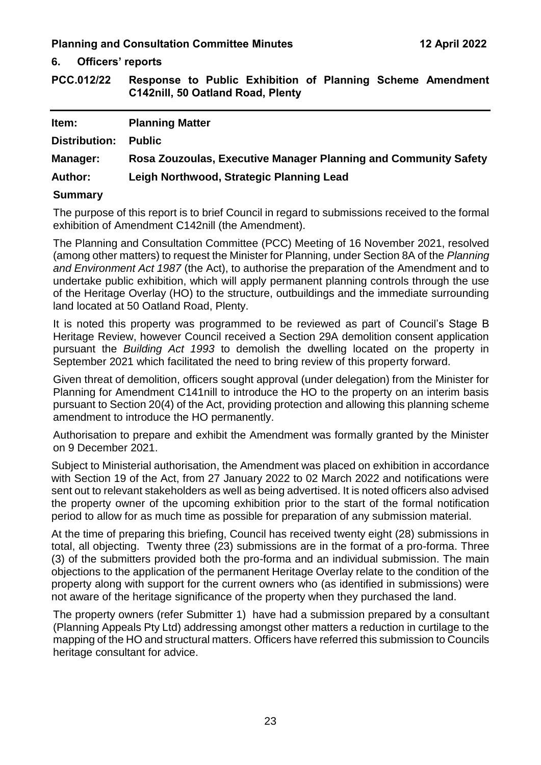**6. Officers' reports**

<span id="page-24-0"></span>**PCC.012/22 Response to Public Exhibition of Planning Scheme Amendment C142nill, 50 Oatland Road, Plenty**

| Item:           | <b>Planning Matter</b>                                          |
|-----------------|-----------------------------------------------------------------|
| Distribution:   | <b>Public</b>                                                   |
| <b>Manager:</b> | Rosa Zouzoulas, Executive Manager Planning and Community Safety |
| <b>Author:</b>  | Leigh Northwood, Strategic Planning Lead                        |
| <b>Summary</b>  |                                                                 |

#### The purpose of this report is to brief Council in regard to submissions received to the formal exhibition of Amendment C142nill (the Amendment).

The Planning and Consultation Committee (PCC) Meeting of 16 November 2021, resolved (among other matters) to request the Minister for Planning, under Section 8A of the *Planning and Environment Act 1987* (the Act), to authorise the preparation of the Amendment and to undertake public exhibition, which will apply permanent planning controls through the use of the Heritage Overlay (HO) to the structure, outbuildings and the immediate surrounding land located at 50 Oatland Road, Plenty.

It is noted this property was programmed to be reviewed as part of Council's Stage B Heritage Review, however Council received a Section 29A demolition consent application pursuant the *Building Act 1993* to demolish the dwelling located on the property in September 2021 which facilitated the need to bring review of this property forward.

Given threat of demolition, officers sought approval (under delegation) from the Minister for Planning for Amendment C141nill to introduce the HO to the property on an interim basis pursuant to Section 20(4) of the Act, providing protection and allowing this planning scheme amendment to introduce the HO permanently.

Authorisation to prepare and exhibit the Amendment was formally granted by the Minister on 9 December 2021.

Subject to Ministerial authorisation, the Amendment was placed on exhibition in accordance with Section 19 of the Act, from 27 January 2022 to 02 March 2022 and notifications were sent out to relevant stakeholders as well as being advertised. It is noted officers also advised the property owner of the upcoming exhibition prior to the start of the formal notification period to allow for as much time as possible for preparation of any submission material.

At the time of preparing this briefing, Council has received twenty eight (28) submissions in total, all objecting. Twenty three (23) submissions are in the format of a pro-forma. Three (3) of the submitters provided both the pro-forma and an individual submission. The main objections to the application of the permanent Heritage Overlay relate to the condition of the property along with support for the current owners who (as identified in submissions) were not aware of the heritage significance of the property when they purchased the land.

The property owners (refer Submitter 1) have had a submission prepared by a consultant (Planning Appeals Pty Ltd) addressing amongst other matters a reduction in curtilage to the mapping of the HO and structural matters. Officers have referred this submission to Councils heritage consultant for advice.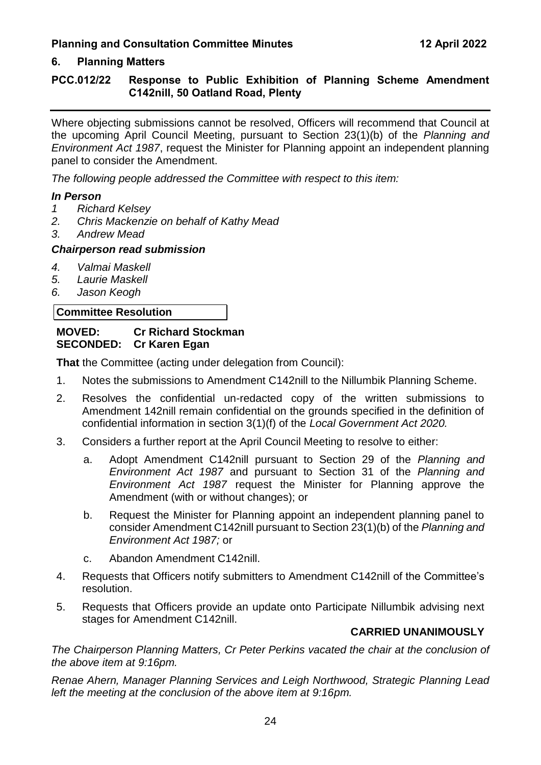# **6. Planning Matters**

# **PCC.012/22 Response to Public Exhibition of Planning Scheme Amendment C142nill, 50 Oatland Road, Plenty**

Where objecting submissions cannot be resolved, Officers will recommend that Council at the upcoming April Council Meeting, pursuant to Section 23(1)(b) of the *Planning and Environment Act 1987*, request the Minister for Planning appoint an independent planning panel to consider the Amendment.

*The following people addressed the Committee with respect to this item:*

#### *In Person*

- *1 Richard Kelsey*
- *2. Chris Mackenzie on behalf of Kathy Mead*
- *3. Andrew Mead*

#### *Chairperson read submission*

- *4. Valmai Maskell*
- *5. Laurie Maskell*
- *6. Jason Keogh*

#### **Committee Resolution**

#### **MOVED: Cr Richard Stockman SECONDED: Cr Karen Egan**

**That** the Committee (acting under delegation from Council):

- 1. Notes the submissions to Amendment C142nill to the Nillumbik Planning Scheme.
- 2. Resolves the confidential un-redacted copy of the written submissions to Amendment 142nill remain confidential on the grounds specified in the definition of confidential information in section 3(1)(f) of the *Local Government Act 2020.*
- 3. Considers a further report at the April Council Meeting to resolve to either:
	- a. Adopt Amendment C142nill pursuant to Section 29 of the *Planning and Environment Act 1987* and pursuant to Section 31 of the *Planning and Environment Act 1987* request the Minister for Planning approve the Amendment (with or without changes); or
	- b. Request the Minister for Planning appoint an independent planning panel to consider Amendment C142nill pursuant to Section 23(1)(b) of the *Planning and Environment Act 1987;* or
	- c. Abandon Amendment C142nill.
- 4. Requests that Officers notify submitters to Amendment C142nill of the Committee's resolution.
- 5. Requests that Officers provide an update onto Participate Nillumbik advising next stages for Amendment C142nill.

#### **CARRIED UNANIMOUSLY**

*The Chairperson Planning Matters, Cr Peter Perkins vacated the chair at the conclusion of the above item at 9:16pm.*

*Renae Ahern, Manager Planning Services and Leigh Northwood, Strategic Planning Lead left the meeting at the conclusion of the above item at 9:16pm.*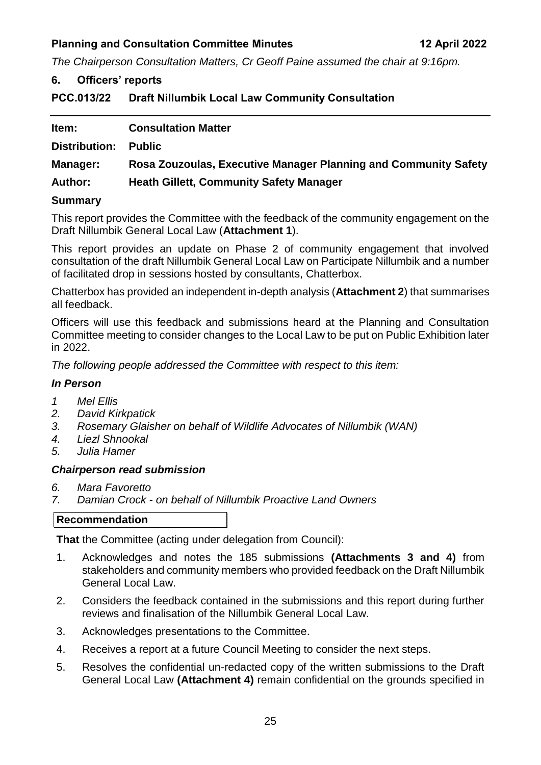<span id="page-26-0"></span>*The Chairperson Consultation Matters, Cr Geoff Paine assumed the chair at 9:16pm.*

#### **6. Officers' reports**

<span id="page-26-1"></span>**PCC.013/22 Draft Nillumbik Local Law Community Consultation**

| Item:          | <b>Consultation Matter</b>                                      |
|----------------|-----------------------------------------------------------------|
| Distribution:  | <b>Public</b>                                                   |
| Manager:       | Rosa Zouzoulas, Executive Manager Planning and Community Safety |
| <b>Author:</b> | <b>Heath Gillett, Community Safety Manager</b>                  |

#### **Summary**

This report provides the Committee with the feedback of the community engagement on the Draft Nillumbik General Local Law (**Attachment 1**).

This report provides an update on Phase 2 of community engagement that involved consultation of the draft Nillumbik General Local Law on Participate Nillumbik and a number of facilitated drop in sessions hosted by consultants, Chatterbox.

Chatterbox has provided an independent in-depth analysis (**Attachment 2**) that summarises all feedback.

Officers will use this feedback and submissions heard at the Planning and Consultation Committee meeting to consider changes to the Local Law to be put on Public Exhibition later in 2022.

*The following people addressed the Committee with respect to this item:*

#### *In Person*

- *1 Mel Ellis*
- *2. David Kirkpatick*
- *3. Rosemary Glaisher on behalf of Wildlife Advocates of Nillumbik (WAN)*
- *4. Liezl Shnookal*
- *5. Julia Hamer*

#### *Chairperson read submission*

- *6. Mara Favoretto*
- *7. Damian Crock - on behalf of Nillumbik Proactive Land Owners*

#### **Recommendation**

**That** the Committee (acting under delegation from Council):

- 1. Acknowledges and notes the 185 submissions **(Attachments 3 and 4)** from stakeholders and community members who provided feedback on the Draft Nillumbik General Local Law.
- 2. Considers the feedback contained in the submissions and this report during further reviews and finalisation of the Nillumbik General Local Law.
- 3. Acknowledges presentations to the Committee.
- 4. Receives a report at a future Council Meeting to consider the next steps.
- 5. Resolves the confidential un-redacted copy of the written submissions to the Draft General Local Law **(Attachment 4)** remain confidential on the grounds specified in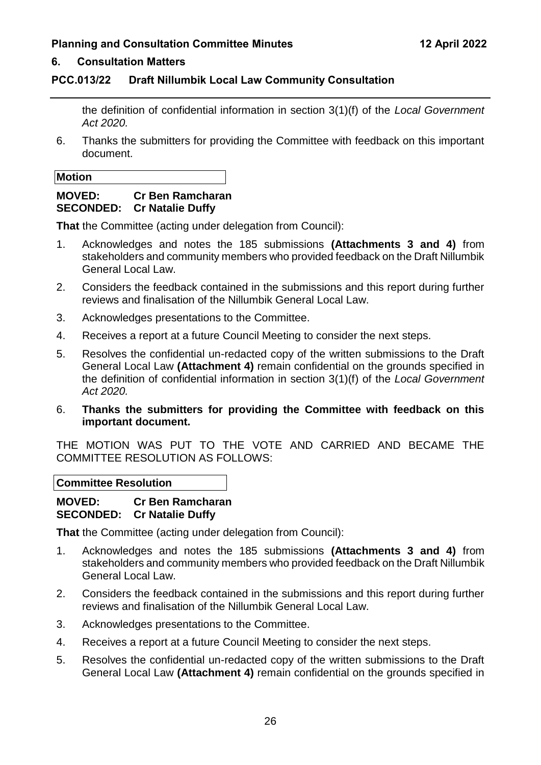#### **6. Consultation Matters**

#### **PCC.013/22 Draft Nillumbik Local Law Community Consultation**

the definition of confidential information in section 3(1)(f) of the *Local Government Act 2020.*

6. Thanks the submitters for providing the Committee with feedback on this important document.

#### **Motion**

# **MOVED: Cr Ben Ramcharan SECONDED: Cr Natalie Duffy**

**That** the Committee (acting under delegation from Council):

- 1. Acknowledges and notes the 185 submissions **(Attachments 3 and 4)** from stakeholders and community members who provided feedback on the Draft Nillumbik General Local Law.
- 2. Considers the feedback contained in the submissions and this report during further reviews and finalisation of the Nillumbik General Local Law.
- 3. Acknowledges presentations to the Committee.
- 4. Receives a report at a future Council Meeting to consider the next steps.
- 5. Resolves the confidential un-redacted copy of the written submissions to the Draft General Local Law **(Attachment 4)** remain confidential on the grounds specified in the definition of confidential information in section 3(1)(f) of the *Local Government Act 2020.*
- 6. **Thanks the submitters for providing the Committee with feedback on this important document.**

THE MOTION WAS PUT TO THE VOTE AND CARRIED AND BECAME THE COMMITTEE RESOLUTION AS FOLLOWS:

**Committee Resolution**

**MOVED: Cr Ben Ramcharan SECONDED: Cr Natalie Duffy** 

**That** the Committee (acting under delegation from Council):

- 1. Acknowledges and notes the 185 submissions **(Attachments 3 and 4)** from stakeholders and community members who provided feedback on the Draft Nillumbik General Local Law.
- 2. Considers the feedback contained in the submissions and this report during further reviews and finalisation of the Nillumbik General Local Law.
- 3. Acknowledges presentations to the Committee.
- 4. Receives a report at a future Council Meeting to consider the next steps.
- 5. Resolves the confidential un-redacted copy of the written submissions to the Draft General Local Law **(Attachment 4)** remain confidential on the grounds specified in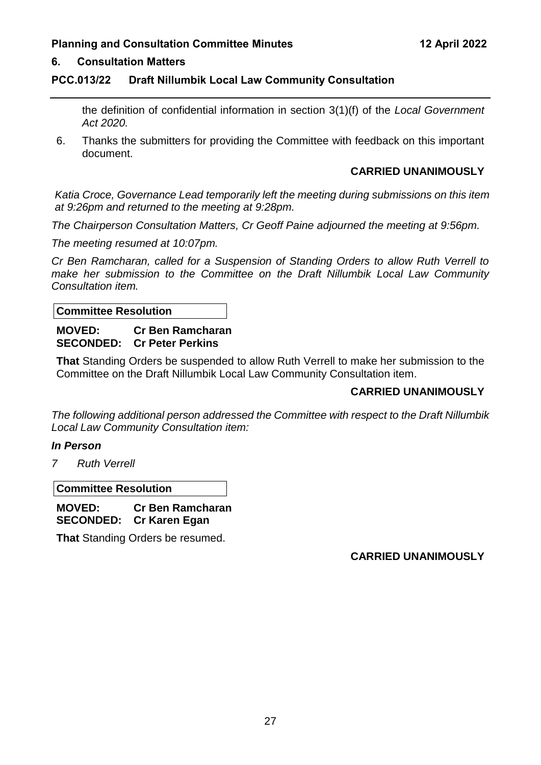#### **6. Consultation Matters**

#### **PCC.013/22 Draft Nillumbik Local Law Community Consultation**

the definition of confidential information in section 3(1)(f) of the *Local Government Act 2020.*

6. Thanks the submitters for providing the Committee with feedback on this important document.

#### **CARRIED UNANIMOUSLY**

*Katia Croce, Governance Lead temporarily left the meeting during submissions on this item at 9:26pm and returned to the meeting at 9:28pm.*

*The Chairperson Consultation Matters, Cr Geoff Paine adjourned the meeting at 9:56pm.*

*The meeting resumed at 10:07pm.*

*Cr Ben Ramcharan, called for a Suspension of Standing Orders to allow Ruth Verrell to make her submission to the Committee on the Draft Nillumbik Local Law Community Consultation item.*

#### **Committee Resolution**

#### **MOVED: Cr Ben Ramcharan SECONDED: Cr Peter Perkins**

**That** Standing Orders be suspended to allow Ruth Verrell to make her submission to the Committee on the Draft Nillumbik Local Law Community Consultation item.

#### **CARRIED UNANIMOUSLY**

*The following additional person addressed the Committee with respect to the Draft Nillumbik Local Law Community Consultation item:*

#### *In Person*

*7 Ruth Verrell*

**Committee Resolution**

**MOVED: Cr Ben Ramcharan SECONDED: Cr Karen Egan** 

**That** Standing Orders be resumed.

**CARRIED UNANIMOUSLY**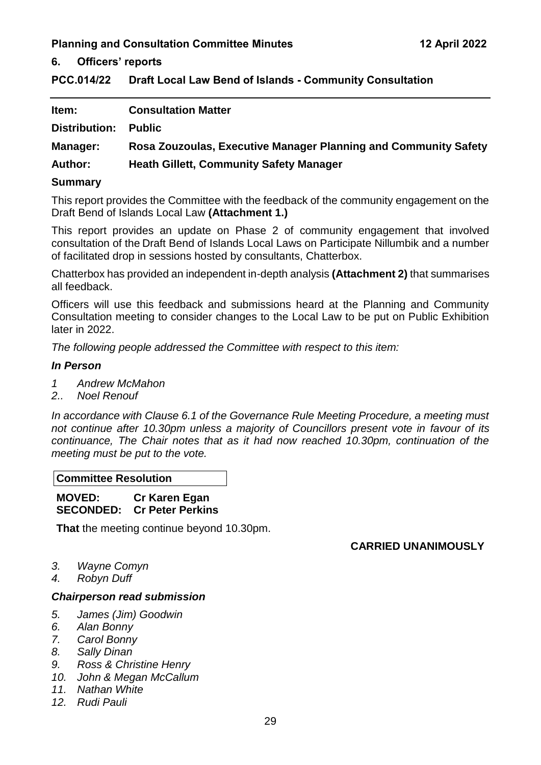**6. Officers' reports**

<span id="page-30-0"></span>**PCC.014/22 Draft Local Law Bend of Islands - Community Consultation** 

| Item:           | <b>Consultation Matter</b>                                      |
|-----------------|-----------------------------------------------------------------|
| Distribution:   | <b>Public</b>                                                   |
| <b>Manager:</b> | Rosa Zouzoulas, Executive Manager Planning and Community Safety |
| <b>Author:</b>  | <b>Heath Gillett, Community Safety Manager</b>                  |
|                 |                                                                 |

#### **Summary**

This report provides the Committee with the feedback of the community engagement on the Draft Bend of Islands Local Law **(Attachment 1.)**

This report provides an update on Phase 2 of community engagement that involved consultation of the Draft Bend of Islands Local Laws on Participate Nillumbik and a number of facilitated drop in sessions hosted by consultants, Chatterbox.

Chatterbox has provided an independent in-depth analysis **(Attachment 2)** that summarises all feedback.

Officers will use this feedback and submissions heard at the Planning and Community Consultation meeting to consider changes to the Local Law to be put on Public Exhibition later in 2022.

*The following people addressed the Committee with respect to this item:*

#### *In Person*

- *1 Andrew McMahon*
- *2.. Noel Renouf*

*In accordance with Clause 6.1 of the Governance Rule Meeting Procedure, a meeting must not continue after 10.30pm unless a majority of Councillors present vote in favour of its continuance, The Chair notes that as it had now reached 10.30pm, continuation of the meeting must be put to the vote.*

**Committee Resolution**

**MOVED: Cr Karen Egan SECONDED: Cr Peter Perkins** 

**That** the meeting continue beyond 10.30pm.

### **CARRIED UNANIMOUSLY**

- *3. Wayne Comyn*
- *4. Robyn Duff*

#### *Chairperson read submission*

- *5. James (Jim) Goodwin*
- *6. Alan Bonny*
- *7. Carol Bonny*
- *8. Sally Dinan*
- *9. Ross & Christine Henry*
- *10. John & Megan McCallum*
- *11. Nathan White*
- *12. Rudi Pauli*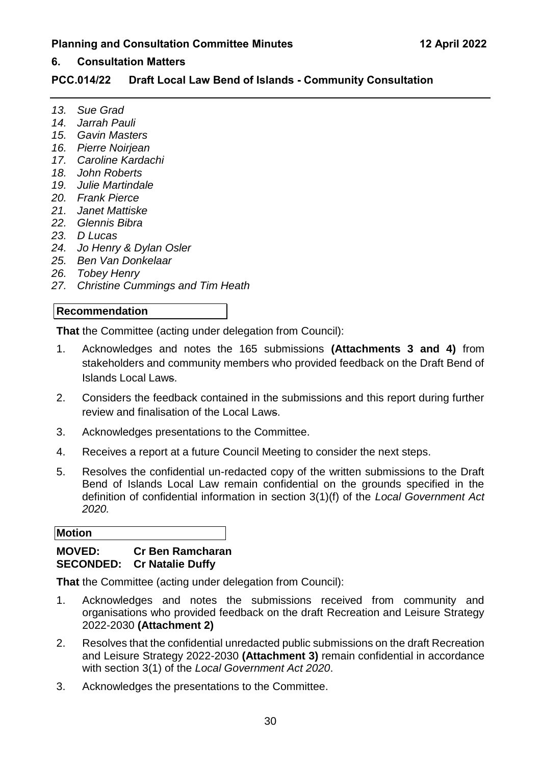#### **6. Consultation Matters**

#### **PCC.014/22 Draft Local Law Bend of Islands - Community Consultation**

- *13. Sue Grad*
- *14. Jarrah Pauli*
- *15. Gavin Masters*
- *16. Pierre Noirjean*
- *17. Caroline Kardachi*
- *18. John Roberts*
- *19. Julie Martindale*
- *20. Frank Pierce*
- *21. Janet Mattiske*
- *22. Glennis Bibra*
- *23. D Lucas*
- *24. Jo Henry & Dylan Osler*
- *25. Ben Van Donkelaar*
- *26. Tobey Henry*
- *27. Christine Cummings and Tim Heath*

#### **Recommendation**

**That** the Committee (acting under delegation from Council):

- 1. Acknowledges and notes the 165 submissions **(Attachments 3 and 4)** from stakeholders and community members who provided feedback on the Draft Bend of Islands Local Laws.
- 2. Considers the feedback contained in the submissions and this report during further review and finalisation of the Local Laws.
- 3. Acknowledges presentations to the Committee.
- 4. Receives a report at a future Council Meeting to consider the next steps.
- 5. Resolves the confidential un-redacted copy of the written submissions to the Draft Bend of Islands Local Law remain confidential on the grounds specified in the definition of confidential information in section 3(1)(f) of the *Local Government Act 2020.*

#### **Motion**

#### **MOVED: Cr Ben Ramcharan SECONDED: Cr Natalie Duffy**

**That** the Committee (acting under delegation from Council):

- 1. Acknowledges and notes the submissions received from community and organisations who provided feedback on the draft Recreation and Leisure Strategy 2022-2030 **(Attachment 2)**
- 2. Resolves that the confidential unredacted public submissions on the draft Recreation and Leisure Strategy 2022-2030 **(Attachment 3)** remain confidential in accordance with section 3(1) of the *Local Government Act 2020*.
- 3. Acknowledges the presentations to the Committee.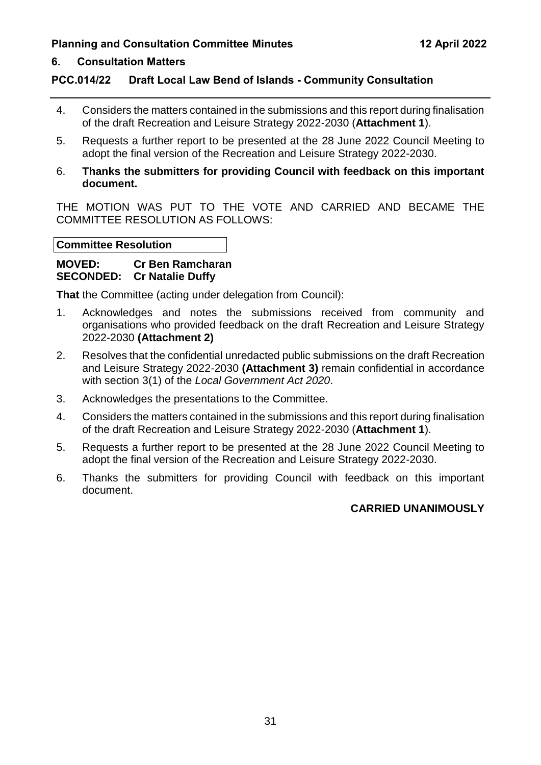# **6. Consultation Matters**

## **PCC.014/22 Draft Local Law Bend of Islands - Community Consultation**

- 4. Considers the matters contained in the submissions and this report during finalisation of the draft Recreation and Leisure Strategy 2022-2030 (**Attachment 1**).
- 5. Requests a further report to be presented at the 28 June 2022 Council Meeting to adopt the final version of the Recreation and Leisure Strategy 2022-2030.
- 6. **Thanks the submitters for providing Council with feedback on this important document.**

THE MOTION WAS PUT TO THE VOTE AND CARRIED AND BECAME THE COMMITTEE RESOLUTION AS FOLLOWS:

#### **Committee Resolution**

#### **MOVED: Cr Ben Ramcharan SECONDED: Cr Natalie Duffy**

**That** the Committee (acting under delegation from Council):

- 1. Acknowledges and notes the submissions received from community and organisations who provided feedback on the draft Recreation and Leisure Strategy 2022-2030 **(Attachment 2)**
- 2. Resolves that the confidential unredacted public submissions on the draft Recreation and Leisure Strategy 2022-2030 **(Attachment 3)** remain confidential in accordance with section 3(1) of the *Local Government Act 2020*.
- 3. Acknowledges the presentations to the Committee.
- 4. Considers the matters contained in the submissions and this report during finalisation of the draft Recreation and Leisure Strategy 2022-2030 (**Attachment 1**).
- 5. Requests a further report to be presented at the 28 June 2022 Council Meeting to adopt the final version of the Recreation and Leisure Strategy 2022-2030.
- 6. Thanks the submitters for providing Council with feedback on this important document.

#### **CARRIED UNANIMOUSLY**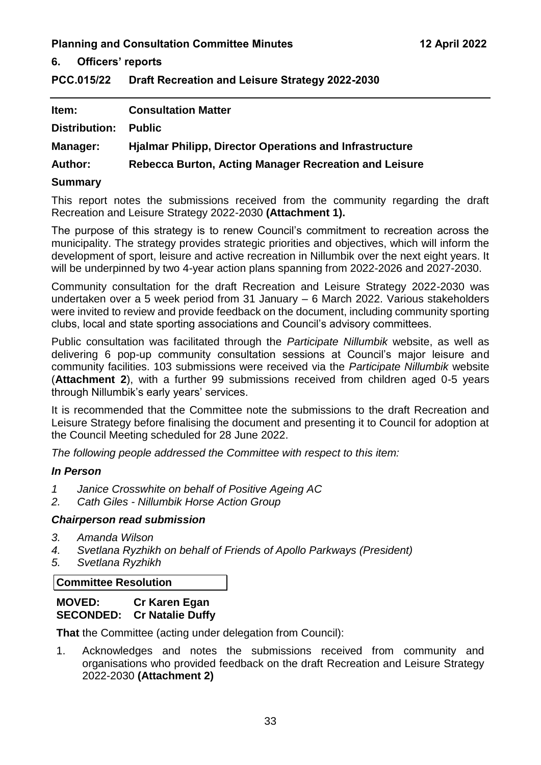**6. Officers' reports**

<span id="page-34-0"></span>**PCC.015/22 Draft Recreation and Leisure Strategy 2022-2030**

| Item:                | <b>Consultation Matter</b>                                     |
|----------------------|----------------------------------------------------------------|
| <b>Distribution:</b> | <b>Public</b>                                                  |
| Manager:             | <b>Hialmar Philipp, Director Operations and Infrastructure</b> |
| <b>Author:</b>       | Rebecca Burton, Acting Manager Recreation and Leisure          |

#### **Summary**

This report notes the submissions received from the community regarding the draft Recreation and Leisure Strategy 2022-2030 **(Attachment 1).**

The purpose of this strategy is to renew Council's commitment to recreation across the municipality. The strategy provides strategic priorities and objectives, which will inform the development of sport, leisure and active recreation in Nillumbik over the next eight years. It will be underpinned by two 4-year action plans spanning from 2022-2026 and 2027-2030.

Community consultation for the draft Recreation and Leisure Strategy 2022-2030 was undertaken over a 5 week period from 31 January – 6 March 2022. Various stakeholders were invited to review and provide feedback on the document, including community sporting clubs, local and state sporting associations and Council's advisory committees.

Public consultation was facilitated through the *Participate Nillumbik* website, as well as delivering 6 pop-up community consultation sessions at Council's major leisure and community facilities. 103 submissions were received via the *Participate Nillumbik* website (**Attachment 2**), with a further 99 submissions received from children aged 0-5 years through Nillumbik's early years' services.

It is recommended that the Committee note the submissions to the draft Recreation and Leisure Strategy before finalising the document and presenting it to Council for adoption at the Council Meeting scheduled for 28 June 2022.

*The following people addressed the Committee with respect to this item:*

#### *In Person*

- *1 Janice Crosswhite on behalf of Positive Ageing AC*
- *2. Cath Giles - Nillumbik Horse Action Group*

#### *Chairperson read submission*

- *3. Amanda Wilson*
- *4. Svetlana Ryzhikh on behalf of Friends of Apollo Parkways (President)*
- *5. Svetlana Ryzhikh*

#### **Committee Resolution**

#### **MOVED: Cr Karen Egan SECONDED: Cr Natalie Duffy**

**That** the Committee (acting under delegation from Council):

1. Acknowledges and notes the submissions received from community and organisations who provided feedback on the draft Recreation and Leisure Strategy 2022-2030 **(Attachment 2)**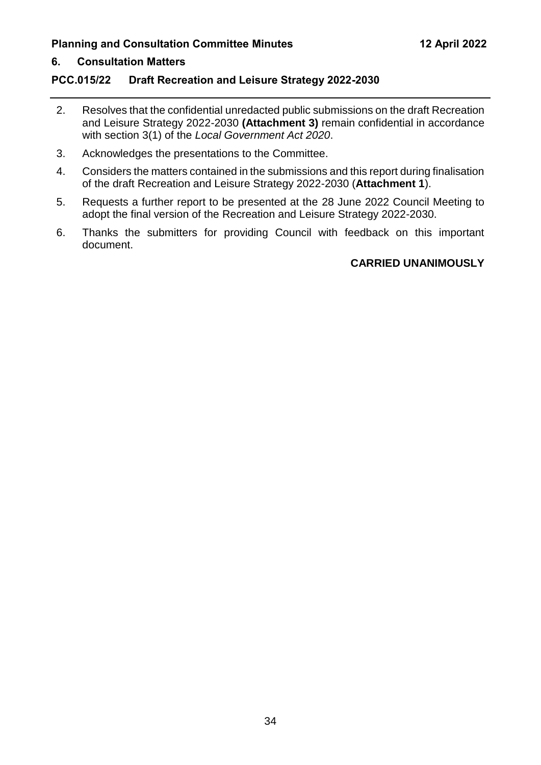## **6. Consultation Matters**

#### **PCC.015/22 Draft Recreation and Leisure Strategy 2022-2030**

- 2. Resolves that the confidential unredacted public submissions on the draft Recreation and Leisure Strategy 2022-2030 **(Attachment 3)** remain confidential in accordance with section 3(1) of the *Local Government Act 2020*.
- 3. Acknowledges the presentations to the Committee.
- 4. Considers the matters contained in the submissions and this report during finalisation of the draft Recreation and Leisure Strategy 2022-2030 (**Attachment 1**).
- 5. Requests a further report to be presented at the 28 June 2022 Council Meeting to adopt the final version of the Recreation and Leisure Strategy 2022-2030.
- 6. Thanks the submitters for providing Council with feedback on this important document.

#### **CARRIED UNANIMOUSLY**